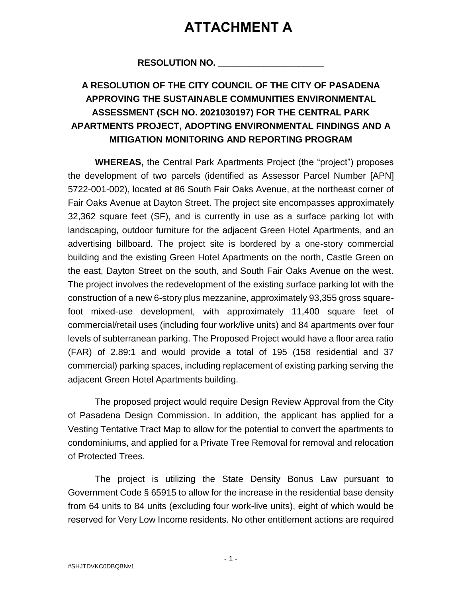# **ATTACHMENT A**

## **RESOLUTION NO. \_\_\_\_\_\_\_\_\_\_\_\_\_\_\_\_\_\_\_\_\_**

## **A RESOLUTION OF THE CITY COUNCIL OF THE CITY OF PASADENA APPROVING THE SUSTAINABLE COMMUNITIES ENVIRONMENTAL ASSESSMENT (SCH NO. 2021030197) FOR THE CENTRAL PARK APARTMENTS PROJECT, ADOPTING ENVIRONMENTAL FINDINGS AND A MITIGATION MONITORING AND REPORTING PROGRAM**

**WHEREAS,** the Central Park Apartments Project (the "project") proposes the development of two parcels (identified as Assessor Parcel Number [APN] 5722-001-002), located at 86 South Fair Oaks Avenue, at the northeast corner of Fair Oaks Avenue at Dayton Street. The project site encompasses approximately 32,362 square feet (SF), and is currently in use as a surface parking lot with landscaping, outdoor furniture for the adjacent Green Hotel Apartments, and an advertising billboard. The project site is bordered by a one‐story commercial building and the existing Green Hotel Apartments on the north, Castle Green on the east, Dayton Street on the south, and South Fair Oaks Avenue on the west. The project involves the redevelopment of the existing surface parking lot with the construction of a new 6-story plus mezzanine, approximately 93,355 gross squarefoot mixed-use development, with approximately 11,400 square feet of commercial/retail uses (including four work/live units) and 84 apartments over four levels of subterranean parking. The Proposed Project would have a floor area ratio (FAR) of 2.89:1 and would provide a total of 195 (158 residential and 37 commercial) parking spaces, including replacement of existing parking serving the adjacent Green Hotel Apartments building.

The proposed project would require Design Review Approval from the City of Pasadena Design Commission. In addition, the applicant has applied for a Vesting Tentative Tract Map to allow for the potential to convert the apartments to condominiums, and applied for a Private Tree Removal for removal and relocation of Protected Trees.

The project is utilizing the State Density Bonus Law pursuant to Government Code § 65915 to allow for the increase in the residential base density from 64 units to 84 units (excluding four work-live units), eight of which would be reserved for Very Low Income residents. No other entitlement actions are required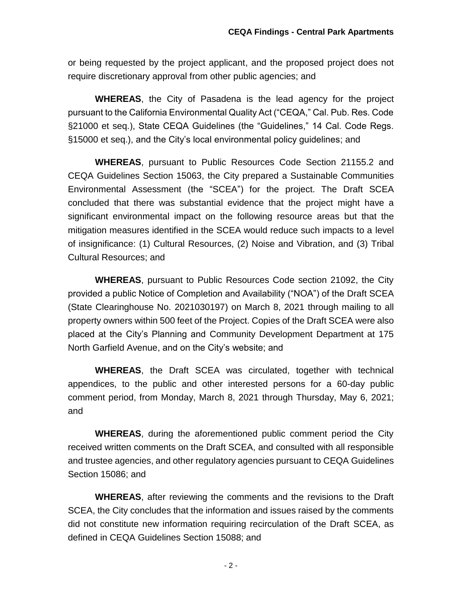or being requested by the project applicant, and the proposed project does not require discretionary approval from other public agencies; and

**WHEREAS**, the City of Pasadena is the lead agency for the project pursuant to the California Environmental Quality Act ("CEQA," Cal. Pub. Res. Code §21000 et seq.), State CEQA Guidelines (the "Guidelines," 14 Cal. Code Regs. §15000 et seq.), and the City's local environmental policy guidelines; and

**WHEREAS**, pursuant to Public Resources Code Section 21155.2 and CEQA Guidelines Section 15063, the City prepared a Sustainable Communities Environmental Assessment (the "SCEA") for the project. The Draft SCEA concluded that there was substantial evidence that the project might have a significant environmental impact on the following resource areas but that the mitigation measures identified in the SCEA would reduce such impacts to a level of insignificance: (1) Cultural Resources, (2) Noise and Vibration, and (3) Tribal Cultural Resources; and

**WHEREAS**, pursuant to Public Resources Code section 21092, the City provided a public Notice of Completion and Availability ("NOA") of the Draft SCEA (State Clearinghouse No. 2021030197) on March 8, 2021 through mailing to all property owners within 500 feet of the Project. Copies of the Draft SCEA were also placed at the City's Planning and Community Development Department at 175 North Garfield Avenue, and on the City's website; and

**WHEREAS**, the Draft SCEA was circulated, together with technical appendices, to the public and other interested persons for a 60-day public comment period, from Monday, March 8, 2021 through Thursday, May 6, 2021; and

**WHEREAS**, during the aforementioned public comment period the City received written comments on the Draft SCEA, and consulted with all responsible and trustee agencies, and other regulatory agencies pursuant to CEQA Guidelines Section 15086; and

**WHEREAS**, after reviewing the comments and the revisions to the Draft SCEA, the City concludes that the information and issues raised by the comments did not constitute new information requiring recirculation of the Draft SCEA, as defined in CEQA Guidelines Section 15088; and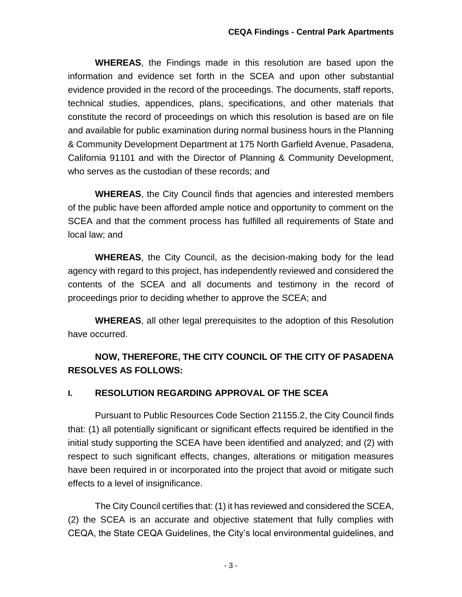**WHEREAS**, the Findings made in this resolution are based upon the information and evidence set forth in the SCEA and upon other substantial evidence provided in the record of the proceedings. The documents, staff reports, technical studies, appendices, plans, specifications, and other materials that constitute the record of proceedings on which this resolution is based are on file and available for public examination during normal business hours in the Planning & Community Development Department at 175 North Garfield Avenue, Pasadena, California 91101 and with the Director of Planning & Community Development, who serves as the custodian of these records; and

**WHEREAS**, the City Council finds that agencies and interested members of the public have been afforded ample notice and opportunity to comment on the SCEA and that the comment process has fulfilled all requirements of State and local law; and

**WHEREAS**, the City Council, as the decision-making body for the lead agency with regard to this project, has independently reviewed and considered the contents of the SCEA and all documents and testimony in the record of proceedings prior to deciding whether to approve the SCEA; and

**WHEREAS**, all other legal prerequisites to the adoption of this Resolution have occurred.

## **NOW, THEREFORE, THE CITY COUNCIL OF THE CITY OF PASADENA RESOLVES AS FOLLOWS:**

## **I. RESOLUTION REGARDING APPROVAL OF THE SCEA**

Pursuant to Public Resources Code Section 21155.2, the City Council finds that: (1) all potentially significant or significant effects required be identified in the initial study supporting the SCEA have been identified and analyzed; and (2) with respect to such significant effects, changes, alterations or mitigation measures have been required in or incorporated into the project that avoid or mitigate such effects to a level of insignificance.

The City Council certifies that: (1) it has reviewed and considered the SCEA, (2) the SCEA is an accurate and objective statement that fully complies with CEQA, the State CEQA Guidelines, the City's local environmental guidelines, and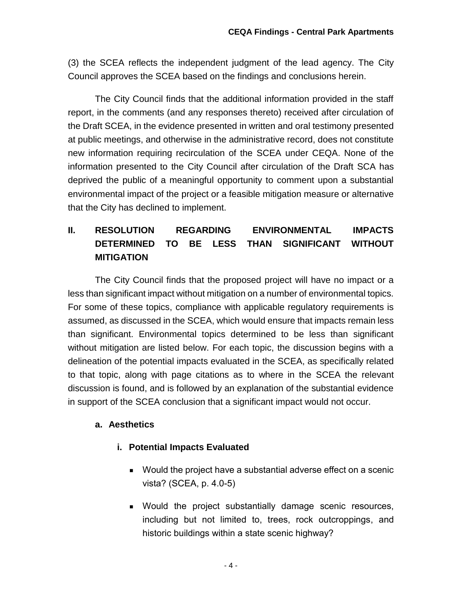(3) the SCEA reflects the independent judgment of the lead agency. The City Council approves the SCEA based on the findings and conclusions herein.

The City Council finds that the additional information provided in the staff report, in the comments (and any responses thereto) received after circulation of the Draft SCEA, in the evidence presented in written and oral testimony presented at public meetings, and otherwise in the administrative record, does not constitute new information requiring recirculation of the SCEA under CEQA. None of the information presented to the City Council after circulation of the Draft SCA has deprived the public of a meaningful opportunity to comment upon a substantial environmental impact of the project or a feasible mitigation measure or alternative that the City has declined to implement.

## **II. RESOLUTION REGARDING ENVIRONMENTAL IMPACTS DETERMINED TO BE LESS THAN SIGNIFICANT WITHOUT MITIGATION**

The City Council finds that the proposed project will have no impact or a less than significant impact without mitigation on a number of environmental topics. For some of these topics, compliance with applicable regulatory requirements is assumed, as discussed in the SCEA, which would ensure that impacts remain less than significant. Environmental topics determined to be less than significant without mitigation are listed below. For each topic, the discussion begins with a delineation of the potential impacts evaluated in the SCEA, as specifically related to that topic, along with page citations as to where in the SCEA the relevant discussion is found, and is followed by an explanation of the substantial evidence in support of the SCEA conclusion that a significant impact would not occur.

#### **a. Aesthetics**

## **i. Potential Impacts Evaluated**

- Would the project have a substantial adverse effect on a scenic vista? (SCEA, p. 4.0-5)
- Would the project substantially damage scenic resources, including but not limited to, trees, rock outcroppings, and historic buildings within a state scenic highway?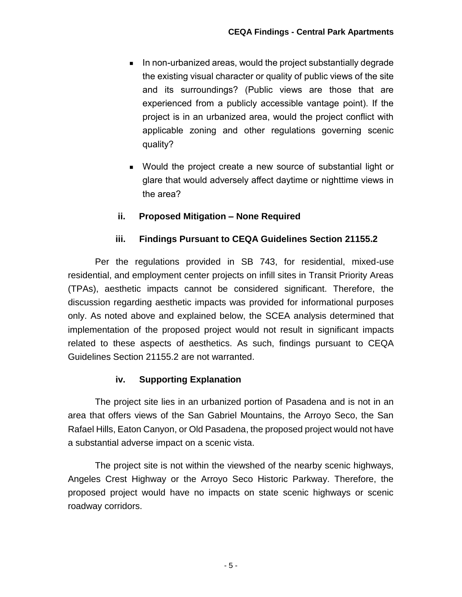- In non-urbanized areas, would the project substantially degrade the existing visual character or quality of public views of the site and its surroundings? (Public views are those that are experienced from a publicly accessible vantage point). If the project is in an urbanized area, would the project conflict with applicable zoning and other regulations governing scenic quality?
- Would the project create a new source of substantial light or glare that would adversely affect daytime or nighttime views in the area?

#### **ii. Proposed Mitigation – None Required**

#### **iii. Findings Pursuant to CEQA Guidelines Section 21155.2**

Per the regulations provided in SB 743, for residential, mixed-use residential, and employment center projects on infill sites in Transit Priority Areas (TPAs), aesthetic impacts cannot be considered significant. Therefore, the discussion regarding aesthetic impacts was provided for informational purposes only. As noted above and explained below, the SCEA analysis determined that implementation of the proposed project would not result in significant impacts related to these aspects of aesthetics. As such, findings pursuant to CEQA Guidelines Section 21155.2 are not warranted.

#### **iv. Supporting Explanation**

The project site lies in an urbanized portion of Pasadena and is not in an area that offers views of the San Gabriel Mountains, the Arroyo Seco, the San Rafael Hills, Eaton Canyon, or Old Pasadena, the proposed project would not have a substantial adverse impact on a scenic vista.

The project site is not within the viewshed of the nearby scenic highways, Angeles Crest Highway or the Arroyo Seco Historic Parkway. Therefore, the proposed project would have no impacts on state scenic highways or scenic roadway corridors.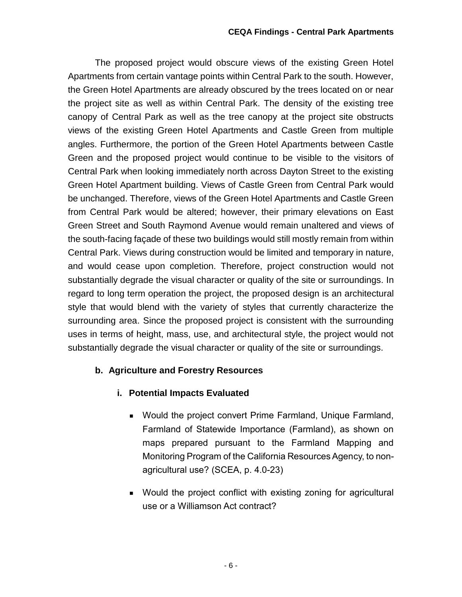The proposed project would obscure views of the existing Green Hotel Apartments from certain vantage points within Central Park to the south. However, the Green Hotel Apartments are already obscured by the trees located on or near the project site as well as within Central Park. The density of the existing tree canopy of Central Park as well as the tree canopy at the project site obstructs views of the existing Green Hotel Apartments and Castle Green from multiple angles. Furthermore, the portion of the Green Hotel Apartments between Castle Green and the proposed project would continue to be visible to the visitors of Central Park when looking immediately north across Dayton Street to the existing Green Hotel Apartment building. Views of Castle Green from Central Park would be unchanged. Therefore, views of the Green Hotel Apartments and Castle Green from Central Park would be altered; however, their primary elevations on East Green Street and South Raymond Avenue would remain unaltered and views of the south-facing façade of these two buildings would still mostly remain from within Central Park. Views during construction would be limited and temporary in nature, and would cease upon completion. Therefore, project construction would not substantially degrade the visual character or quality of the site or surroundings. In regard to long term operation the project, the proposed design is an architectural style that would blend with the variety of styles that currently characterize the surrounding area. Since the proposed project is consistent with the surrounding uses in terms of height, mass, use, and architectural style, the project would not substantially degrade the visual character or quality of the site or surroundings.

## **b. Agriculture and Forestry Resources**

- **i. Potential Impacts Evaluated**
	- Would the project convert Prime Farmland, Unique Farmland, Farmland of Statewide Importance (Farmland), as shown on maps prepared pursuant to the Farmland Mapping and Monitoring Program of the California Resources Agency, to nonagricultural use? (SCEA, p. 4.0-23)
	- Would the project conflict with existing zoning for agricultural use or a Williamson Act contract?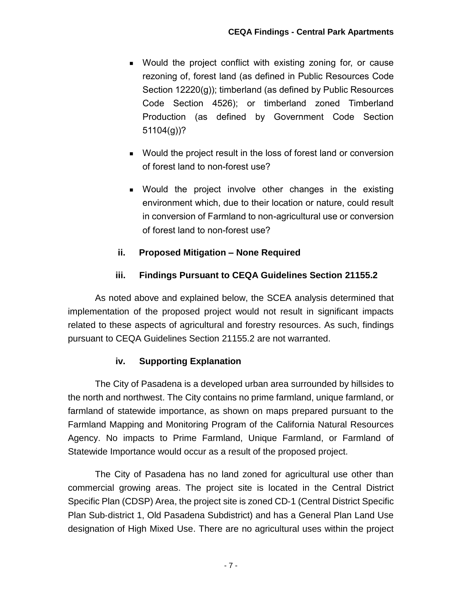- Would the project conflict with existing zoning for, or cause rezoning of, forest land (as defined in Public Resources Code Section 12220(g)); timberland (as defined by Public Resources Code Section 4526); or timberland zoned Timberland Production (as defined by Government Code Section 51104(g))?
- Would the project result in the loss of forest land or conversion of forest land to non-forest use?
- Would the project involve other changes in the existing environment which, due to their location or nature, could result in conversion of Farmland to non-agricultural use or conversion of forest land to non-forest use?

## **ii. Proposed Mitigation – None Required**

#### **iii. Findings Pursuant to CEQA Guidelines Section 21155.2**

As noted above and explained below, the SCEA analysis determined that implementation of the proposed project would not result in significant impacts related to these aspects of agricultural and forestry resources. As such, findings pursuant to CEQA Guidelines Section 21155.2 are not warranted.

#### **iv. Supporting Explanation**

The City of Pasadena is a developed urban area surrounded by hillsides to the north and northwest. The City contains no prime farmland, unique farmland, or farmland of statewide importance, as shown on maps prepared pursuant to the Farmland Mapping and Monitoring Program of the California Natural Resources Agency. No impacts to Prime Farmland, Unique Farmland, or Farmland of Statewide Importance would occur as a result of the proposed project.

The City of Pasadena has no land zoned for agricultural use other than commercial growing areas. The project site is located in the Central District Specific Plan (CDSP) Area, the project site is zoned CD‐1 (Central District Specific Plan Sub‐district 1, Old Pasadena Subdistrict) and has a General Plan Land Use designation of High Mixed Use. There are no agricultural uses within the project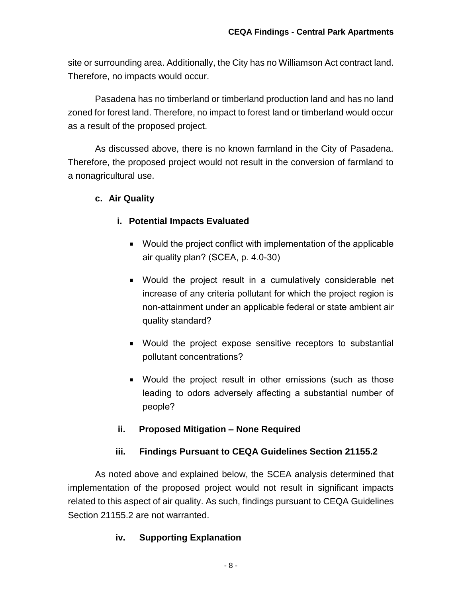site or surrounding area. Additionally, the City has no Williamson Act contract land. Therefore, no impacts would occur.

Pasadena has no timberland or timberland production land and has no land zoned for forest land. Therefore, no impact to forest land or timberland would occur as a result of the proposed project.

As discussed above, there is no known farmland in the City of Pasadena. Therefore, the proposed project would not result in the conversion of farmland to a nonagricultural use.

#### **c. Air Quality**

## **i. Potential Impacts Evaluated**

- Would the project conflict with implementation of the applicable air quality plan? (SCEA, p. 4.0-30)
- Would the project result in a cumulatively considerable net increase of any criteria pollutant for which the project region is non-attainment under an applicable federal or state ambient air quality standard?
- Would the project expose sensitive receptors to substantial pollutant concentrations?
- Would the project result in other emissions (such as those leading to odors adversely affecting a substantial number of people?

#### **ii. Proposed Mitigation – None Required**

## **iii. Findings Pursuant to CEQA Guidelines Section 21155.2**

As noted above and explained below, the SCEA analysis determined that implementation of the proposed project would not result in significant impacts related to this aspect of air quality. As such, findings pursuant to CEQA Guidelines Section 21155.2 are not warranted.

## **iv. Supporting Explanation**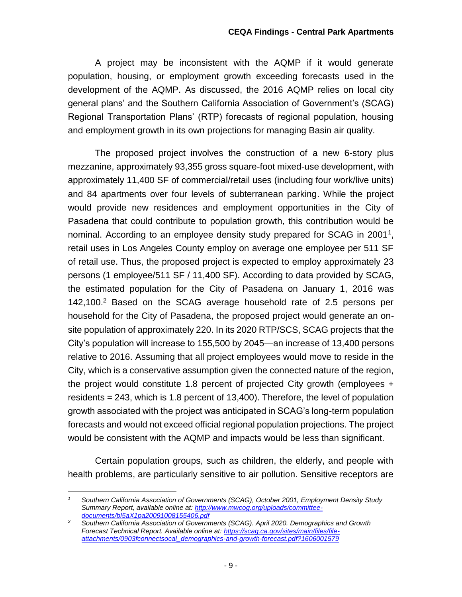A project may be inconsistent with the AQMP if it would generate population, housing, or employment growth exceeding forecasts used in the development of the AQMP. As discussed, the 2016 AQMP relies on local city general plans' and the Southern California Association of Government's (SCAG) Regional Transportation Plans' (RTP) forecasts of regional population, housing and employment growth in its own projections for managing Basin air quality.

The proposed project involves the construction of a new 6-story plus mezzanine, approximately 93,355 gross square-foot mixed-use development, with approximately 11,400 SF of commercial/retail uses (including four work/live units) and 84 apartments over four levels of subterranean parking. While the project would provide new residences and employment opportunities in the City of Pasadena that could contribute to population growth, this contribution would be nominal. According to an employee density study prepared for SCAG in 2001<sup>1</sup>, retail uses in Los Angeles County employ on average one employee per 511 SF of retail use. Thus, the proposed project is expected to employ approximately 23 persons (1 employee/511 SF / 11,400 SF). According to data provided by SCAG, the estimated population for the City of Pasadena on January 1, 2016 was 142,100. <sup>2</sup> Based on the SCAG average household rate of 2.5 persons per household for the City of Pasadena, the proposed project would generate an onsite population of approximately 220. In its 2020 RTP/SCS, SCAG projects that the City's population will increase to 155,500 by 2045—an increase of 13,400 persons relative to 2016. Assuming that all project employees would move to reside in the City, which is a conservative assumption given the connected nature of the region, the project would constitute 1.8 percent of projected City growth (employees + residents = 243, which is 1.8 percent of 13,400). Therefore, the level of population growth associated with the project was anticipated in SCAG's long-term population forecasts and would not exceed official regional population projections. The project would be consistent with the AQMP and impacts would be less than significant.

Certain population groups, such as children, the elderly, and people with health problems, are particularly sensitive to air pollution. Sensitive receptors are

 $\overline{a}$ *<sup>1</sup> Southern California Association of Governments (SCAG), October 2001, Employment Density Study Summary Report, available online at: [http://www.mwcog.org/uploads/committee](http://www.mwcog.org/uploads/committee-documents/bl5aX1pa20091008155406.pdf)[documents/bl5aX1pa20091008155406.pdf](http://www.mwcog.org/uploads/committee-documents/bl5aX1pa20091008155406.pdf)*

*<sup>2</sup> Southern California Association of Governments (SCAG). April 2020. Demographics and Growth Forecast Technical Report. Available online at[: https://scag.ca.gov/sites/main/files/file](https://scag.ca.gov/sites/main/files/file-attachments/0903fconnectsocal_demographics-and-growth-forecast.pdf?1606001579)[attachments/0903fconnectsocal\\_demographics-and-growth-forecast.pdf?1606001579](https://scag.ca.gov/sites/main/files/file-attachments/0903fconnectsocal_demographics-and-growth-forecast.pdf?1606001579)*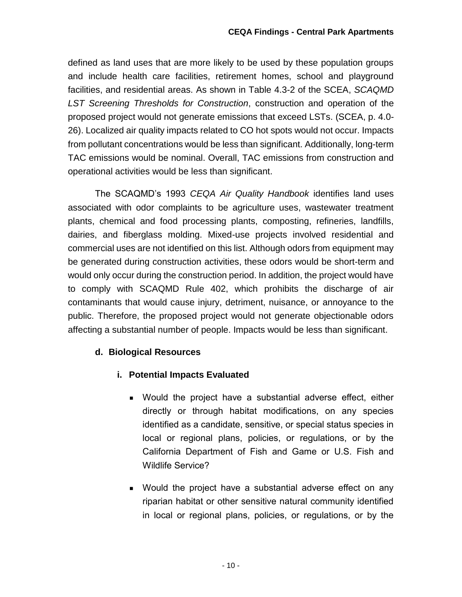defined as land uses that are more likely to be used by these population groups and include health care facilities, retirement homes, school and playground facilities, and residential areas. As shown in Table 4.3-2 of the SCEA, *SCAQMD LST Screening Thresholds for Construction*, construction and operation of the proposed project would not generate emissions that exceed LSTs. (SCEA, p. 4.0- 26). Localized air quality impacts related to CO hot spots would not occur. Impacts from pollutant concentrations would be less than significant. Additionally, long-term TAC emissions would be nominal. Overall, TAC emissions from construction and operational activities would be less than significant.

The SCAQMD's 1993 *CEQA Air Quality Handbook* identifies land uses associated with odor complaints to be agriculture uses, wastewater treatment plants, chemical and food processing plants, composting, refineries, landfills, dairies, and fiberglass molding. Mixed-use projects involved residential and commercial uses are not identified on this list. Although odors from equipment may be generated during construction activities, these odors would be short-term and would only occur during the construction period. In addition, the project would have to comply with SCAQMD Rule 402, which prohibits the discharge of air contaminants that would cause injury, detriment, nuisance, or annoyance to the public. Therefore, the proposed project would not generate objectionable odors affecting a substantial number of people. Impacts would be less than significant.

## **d. Biological Resources**

## **i. Potential Impacts Evaluated**

- Would the project have a substantial adverse effect, either directly or through habitat modifications, on any species identified as a candidate, sensitive, or special status species in local or regional plans, policies, or regulations, or by the California Department of Fish and Game or U.S. Fish and Wildlife Service?
- **Nould the project have a substantial adverse effect on any** riparian habitat or other sensitive natural community identified in local or regional plans, policies, or regulations, or by the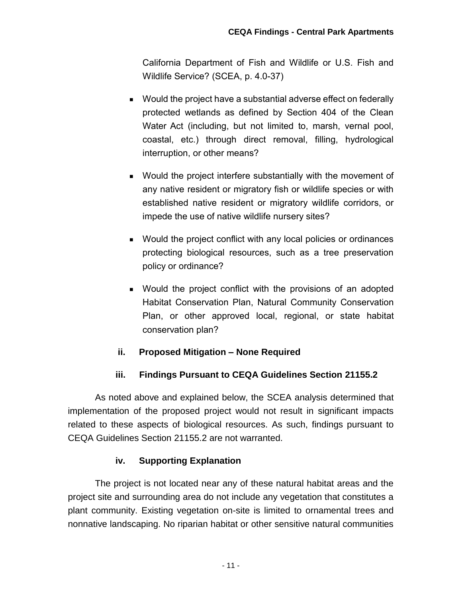California Department of Fish and Wildlife or U.S. Fish and Wildlife Service? (SCEA, p. 4.0-37)

- Would the project have a substantial adverse effect on federally protected wetlands as defined by Section 404 of the Clean Water Act (including, but not limited to, marsh, vernal pool, coastal, etc.) through direct removal, filling, hydrological interruption, or other means?
- Would the project interfere substantially with the movement of any native resident or migratory fish or wildlife species or with established native resident or migratory wildlife corridors, or impede the use of native wildlife nursery sites?
- Would the project conflict with any local policies or ordinances protecting biological resources, such as a tree preservation policy or ordinance?
- Would the project conflict with the provisions of an adopted Habitat Conservation Plan, Natural Community Conservation Plan, or other approved local, regional, or state habitat conservation plan?

#### **ii. Proposed Mitigation – None Required**

#### **iii. Findings Pursuant to CEQA Guidelines Section 21155.2**

As noted above and explained below, the SCEA analysis determined that implementation of the proposed project would not result in significant impacts related to these aspects of biological resources. As such, findings pursuant to CEQA Guidelines Section 21155.2 are not warranted.

#### **iv. Supporting Explanation**

The project is not located near any of these natural habitat areas and the project site and surrounding area do not include any vegetation that constitutes a plant community. Existing vegetation on-site is limited to ornamental trees and nonnative landscaping. No riparian habitat or other sensitive natural communities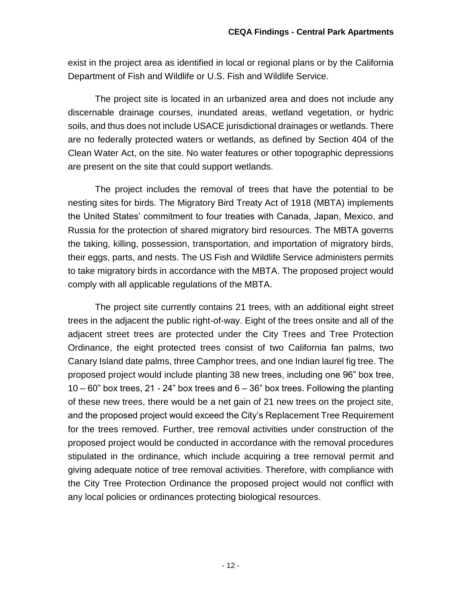exist in the project area as identified in local or regional plans or by the California Department of Fish and Wildlife or U.S. Fish and Wildlife Service.

The project site is located in an urbanized area and does not include any discernable drainage courses, inundated areas, wetland vegetation, or hydric soils, and thus does not include USACE jurisdictional drainages or wetlands. There are no federally protected waters or wetlands, as defined by Section 404 of the Clean Water Act, on the site. No water features or other topographic depressions are present on the site that could support wetlands.

The project includes the removal of trees that have the potential to be nesting sites for birds. The Migratory Bird Treaty Act of 1918 (MBTA) implements the United States' commitment to four treaties with Canada, Japan, Mexico, and Russia for the protection of shared migratory bird resources. The MBTA governs the taking, killing, possession, transportation, and importation of migratory birds, their eggs, parts, and nests. The US Fish and Wildlife Service administers permits to take migratory birds in accordance with the MBTA. The proposed project would comply with all applicable regulations of the MBTA.

The project site currently contains 21 trees, with an additional eight street trees in the adjacent the public right-of-way. Eight of the trees onsite and all of the adjacent street trees are protected under the City Trees and Tree Protection Ordinance, the eight protected trees consist of two California fan palms, two Canary Island date palms, three Camphor trees, and one Indian laurel fig tree. The proposed project would include planting 38 new trees, including one 96" box tree,  $10 - 60$ " box trees, 21 - 24" box trees and  $6 - 36$ " box trees. Following the planting of these new trees, there would be a net gain of 21 new trees on the project site, and the proposed project would exceed the City's Replacement Tree Requirement for the trees removed. Further, tree removal activities under construction of the proposed project would be conducted in accordance with the removal procedures stipulated in the ordinance, which include acquiring a tree removal permit and giving adequate notice of tree removal activities. Therefore, with compliance with the City Tree Protection Ordinance the proposed project would not conflict with any local policies or ordinances protecting biological resources.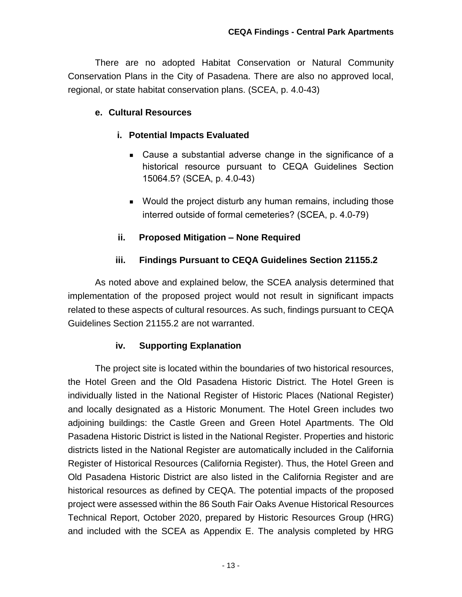There are no adopted Habitat Conservation or Natural Community Conservation Plans in the City of Pasadena. There are also no approved local, regional, or state habitat conservation plans. (SCEA, p. 4.0-43)

#### **e. Cultural Resources**

#### **i. Potential Impacts Evaluated**

- Cause a substantial adverse change in the significance of a historical resource pursuant to CEQA Guidelines Section 15064.5? (SCEA, p. 4.0-43)
- **Would the project disturb any human remains, including those** interred outside of formal cemeteries? (SCEA, p. 4.0-79)

#### **ii. Proposed Mitigation – None Required**

#### **iii. Findings Pursuant to CEQA Guidelines Section 21155.2**

As noted above and explained below, the SCEA analysis determined that implementation of the proposed project would not result in significant impacts related to these aspects of cultural resources. As such, findings pursuant to CEQA Guidelines Section 21155.2 are not warranted.

#### **iv. Supporting Explanation**

The project site is located within the boundaries of two historical resources, the Hotel Green and the Old Pasadena Historic District. The Hotel Green is individually listed in the National Register of Historic Places (National Register) and locally designated as a Historic Monument. The Hotel Green includes two adjoining buildings: the Castle Green and Green Hotel Apartments. The Old Pasadena Historic District is listed in the National Register. Properties and historic districts listed in the National Register are automatically included in the California Register of Historical Resources (California Register). Thus, the Hotel Green and Old Pasadena Historic District are also listed in the California Register and are historical resources as defined by CEQA. The potential impacts of the proposed project were assessed within the 86 South Fair Oaks Avenue Historical Resources Technical Report, October 2020, prepared by Historic Resources Group (HRG) and included with the SCEA as Appendix E. The analysis completed by HRG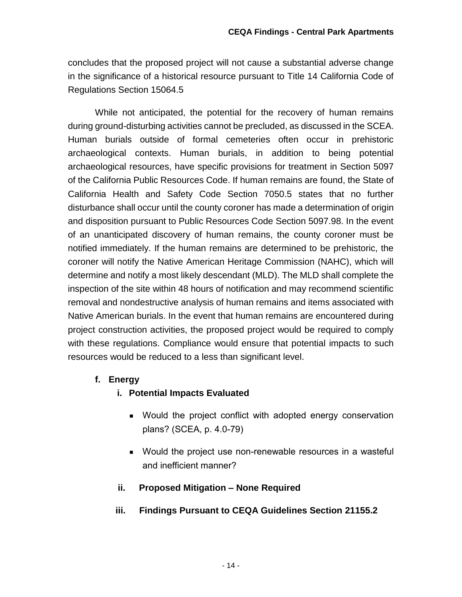concludes that the proposed project will not cause a substantial adverse change in the significance of a historical resource pursuant to Title 14 California Code of Regulations Section 15064.5

While not anticipated, the potential for the recovery of human remains during ground-disturbing activities cannot be precluded, as discussed in the SCEA. Human burials outside of formal cemeteries often occur in prehistoric archaeological contexts. Human burials, in addition to being potential archaeological resources, have specific provisions for treatment in Section 5097 of the California Public Resources Code. If human remains are found, the State of California Health and Safety Code Section 7050.5 states that no further disturbance shall occur until the county coroner has made a determination of origin and disposition pursuant to Public Resources Code Section 5097.98. In the event of an unanticipated discovery of human remains, the county coroner must be notified immediately. If the human remains are determined to be prehistoric, the coroner will notify the Native American Heritage Commission (NAHC), which will determine and notify a most likely descendant (MLD). The MLD shall complete the inspection of the site within 48 hours of notification and may recommend scientific removal and nondestructive analysis of human remains and items associated with Native American burials. In the event that human remains are encountered during project construction activities, the proposed project would be required to comply with these regulations. Compliance would ensure that potential impacts to such resources would be reduced to a less than significant level.

#### **f. Energy**

- **i. Potential Impacts Evaluated**
	- Would the project conflict with adopted energy conservation plans? (SCEA, p. 4.0-79)
	- Would the project use non-renewable resources in a wasteful and inefficient manner?
- **ii. Proposed Mitigation – None Required**

#### **iii. Findings Pursuant to CEQA Guidelines Section 21155.2**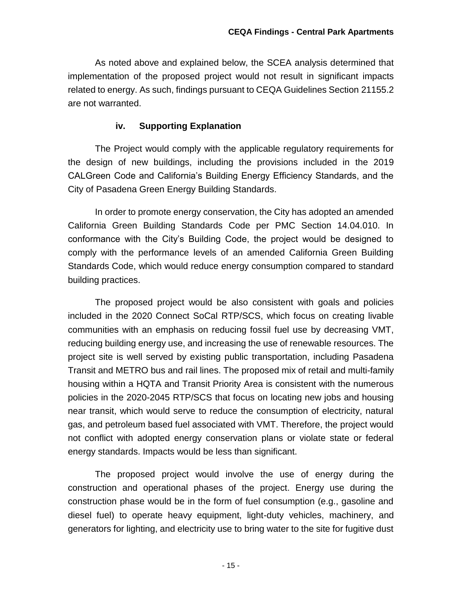As noted above and explained below, the SCEA analysis determined that implementation of the proposed project would not result in significant impacts related to energy. As such, findings pursuant to CEQA Guidelines Section 21155.2 are not warranted.

#### **iv. Supporting Explanation**

The Project would comply with the applicable regulatory requirements for the design of new buildings, including the provisions included in the 2019 CALGreen Code and California's Building Energy Efficiency Standards, and the City of Pasadena Green Energy Building Standards.

In order to promote energy conservation, the City has adopted an amended California Green Building Standards Code per PMC Section 14.04.010. In conformance with the City's Building Code, the project would be designed to comply with the performance levels of an amended California Green Building Standards Code, which would reduce energy consumption compared to standard building practices.

The proposed project would be also consistent with goals and policies included in the 2020 Connect SoCal RTP/SCS, which focus on creating livable communities with an emphasis on reducing fossil fuel use by decreasing VMT, reducing building energy use, and increasing the use of renewable resources. The project site is well served by existing public transportation, including Pasadena Transit and METRO bus and rail lines. The proposed mix of retail and multi-family housing within a HQTA and Transit Priority Area is consistent with the numerous policies in the 2020-2045 RTP/SCS that focus on locating new jobs and housing near transit, which would serve to reduce the consumption of electricity, natural gas, and petroleum based fuel associated with VMT. Therefore, the project would not conflict with adopted energy conservation plans or violate state or federal energy standards. Impacts would be less than significant.

The proposed project would involve the use of energy during the construction and operational phases of the project. Energy use during the construction phase would be in the form of fuel consumption (e.g., gasoline and diesel fuel) to operate heavy equipment, light-duty vehicles, machinery, and generators for lighting, and electricity use to bring water to the site for fugitive dust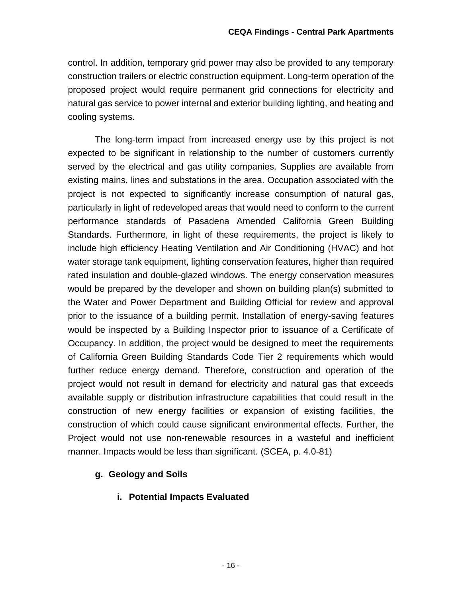control. In addition, temporary grid power may also be provided to any temporary construction trailers or electric construction equipment. Long-term operation of the proposed project would require permanent grid connections for electricity and natural gas service to power internal and exterior building lighting, and heating and cooling systems.

The long-term impact from increased energy use by this project is not expected to be significant in relationship to the number of customers currently served by the electrical and gas utility companies. Supplies are available from existing mains, lines and substations in the area. Occupation associated with the project is not expected to significantly increase consumption of natural gas, particularly in light of redeveloped areas that would need to conform to the current performance standards of Pasadena Amended California Green Building Standards. Furthermore, in light of these requirements, the project is likely to include high efficiency Heating Ventilation and Air Conditioning (HVAC) and hot water storage tank equipment, lighting conservation features, higher than required rated insulation and double-glazed windows. The energy conservation measures would be prepared by the developer and shown on building plan(s) submitted to the Water and Power Department and Building Official for review and approval prior to the issuance of a building permit. Installation of energy-saving features would be inspected by a Building Inspector prior to issuance of a Certificate of Occupancy. In addition, the project would be designed to meet the requirements of California Green Building Standards Code Tier 2 requirements which would further reduce energy demand. Therefore, construction and operation of the project would not result in demand for electricity and natural gas that exceeds available supply or distribution infrastructure capabilities that could result in the construction of new energy facilities or expansion of existing facilities, the construction of which could cause significant environmental effects. Further, the Project would not use non-renewable resources in a wasteful and inefficient manner. Impacts would be less than significant. (SCEA, p. 4.0-81)

## **g. Geology and Soils**

**i. Potential Impacts Evaluated**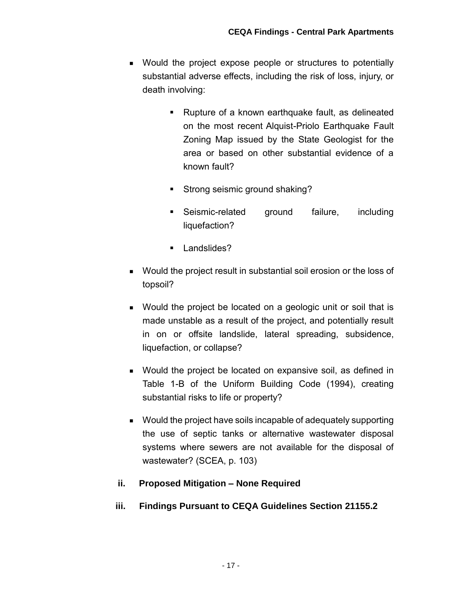- **Nould the project expose people or structures to potentially** substantial adverse effects, including the risk of loss, injury, or death involving:
	- Rupture of a known earthquake fault, as delineated on the most recent Alquist-Priolo Earthquake Fault Zoning Map issued by the State Geologist for the area or based on other substantial evidence of a known fault?
	- Strong seismic ground shaking?
	- **Seismic-related ground failure, including** liquefaction?
	- **Landslides?**
- Would the project result in substantial soil erosion or the loss of topsoil?
- Would the project be located on a geologic unit or soil that is made unstable as a result of the project, and potentially result in on or offsite landslide, lateral spreading, subsidence, liquefaction, or collapse?
- Would the project be located on expansive soil, as defined in Table 1-B of the Uniform Building Code (1994), creating substantial risks to life or property?
- Would the project have soils incapable of adequately supporting the use of septic tanks or alternative wastewater disposal systems where sewers are not available for the disposal of wastewater? (SCEA, p. 103)

## **ii. Proposed Mitigation – None Required**

**iii. Findings Pursuant to CEQA Guidelines Section 21155.2**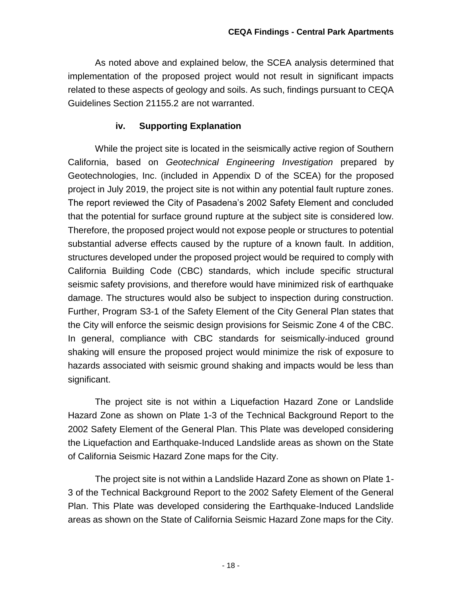As noted above and explained below, the SCEA analysis determined that implementation of the proposed project would not result in significant impacts related to these aspects of geology and soils. As such, findings pursuant to CEQA Guidelines Section 21155.2 are not warranted.

#### **iv. Supporting Explanation**

While the project site is located in the seismically active region of Southern California, based on *Geotechnical Engineering Investigation* prepared by Geotechnologies, Inc. (included in Appendix D of the SCEA) for the proposed project in July 2019, the project site is not within any potential fault rupture zones. The report reviewed the City of Pasadena's 2002 Safety Element and concluded that the potential for surface ground rupture at the subject site is considered low. Therefore, the proposed project would not expose people or structures to potential substantial adverse effects caused by the rupture of a known fault. In addition, structures developed under the proposed project would be required to comply with California Building Code (CBC) standards, which include specific structural seismic safety provisions, and therefore would have minimized risk of earthquake damage. The structures would also be subject to inspection during construction. Further, Program S3-1 of the Safety Element of the City General Plan states that the City will enforce the seismic design provisions for Seismic Zone 4 of the CBC. In general, compliance with CBC standards for seismically-induced ground shaking will ensure the proposed project would minimize the risk of exposure to hazards associated with seismic ground shaking and impacts would be less than significant.

The project site is not within a Liquefaction Hazard Zone or Landslide Hazard Zone as shown on Plate 1-3 of the Technical Background Report to the 2002 Safety Element of the General Plan. This Plate was developed considering the Liquefaction and Earthquake-Induced Landslide areas as shown on the State of California Seismic Hazard Zone maps for the City.

The project site is not within a Landslide Hazard Zone as shown on Plate 1- 3 of the Technical Background Report to the 2002 Safety Element of the General Plan. This Plate was developed considering the Earthquake-Induced Landslide areas as shown on the State of California Seismic Hazard Zone maps for the City.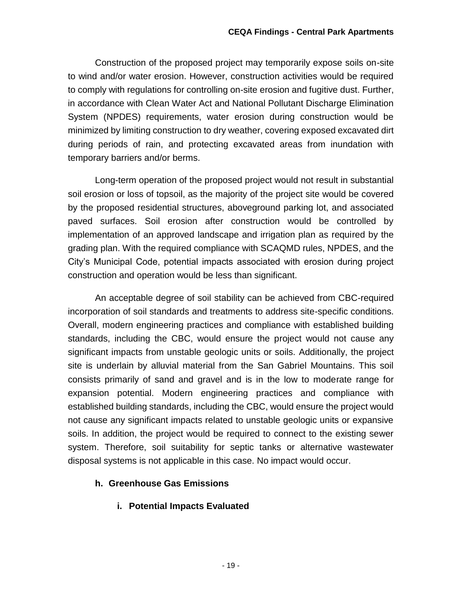Construction of the proposed project may temporarily expose soils on-site to wind and/or water erosion. However, construction activities would be required to comply with regulations for controlling on-site erosion and fugitive dust. Further, in accordance with Clean Water Act and National Pollutant Discharge Elimination System (NPDES) requirements, water erosion during construction would be minimized by limiting construction to dry weather, covering exposed excavated dirt during periods of rain, and protecting excavated areas from inundation with temporary barriers and/or berms.

Long-term operation of the proposed project would not result in substantial soil erosion or loss of topsoil, as the majority of the project site would be covered by the proposed residential structures, aboveground parking lot, and associated paved surfaces. Soil erosion after construction would be controlled by implementation of an approved landscape and irrigation plan as required by the grading plan. With the required compliance with SCAQMD rules, NPDES, and the City's Municipal Code, potential impacts associated with erosion during project construction and operation would be less than significant.

An acceptable degree of soil stability can be achieved from CBC-required incorporation of soil standards and treatments to address site-specific conditions. Overall, modern engineering practices and compliance with established building standards, including the CBC, would ensure the project would not cause any significant impacts from unstable geologic units or soils. Additionally, the project site is underlain by alluvial material from the San Gabriel Mountains. This soil consists primarily of sand and gravel and is in the low to moderate range for expansion potential. Modern engineering practices and compliance with established building standards, including the CBC, would ensure the project would not cause any significant impacts related to unstable geologic units or expansive soils. In addition, the project would be required to connect to the existing sewer system. Therefore, soil suitability for septic tanks or alternative wastewater disposal systems is not applicable in this case. No impact would occur.

## **h. Greenhouse Gas Emissions**

**i. Potential Impacts Evaluated**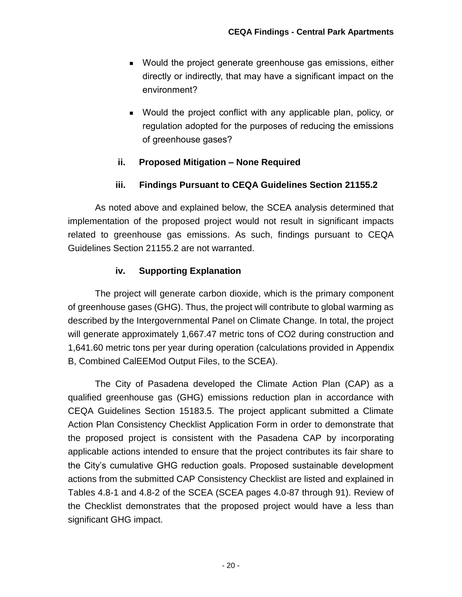- Would the project generate greenhouse gas emissions, either directly or indirectly, that may have a significant impact on the environment?
- Would the project conflict with any applicable plan, policy, or regulation adopted for the purposes of reducing the emissions of greenhouse gases?

## **ii. Proposed Mitigation – None Required**

#### **iii. Findings Pursuant to CEQA Guidelines Section 21155.2**

As noted above and explained below, the SCEA analysis determined that implementation of the proposed project would not result in significant impacts related to greenhouse gas emissions. As such, findings pursuant to CEQA Guidelines Section 21155.2 are not warranted.

#### **iv. Supporting Explanation**

The project will generate carbon dioxide, which is the primary component of greenhouse gases (GHG). Thus, the project will contribute to global warming as described by the Intergovernmental Panel on Climate Change. In total, the project will generate approximately 1,667.47 metric tons of CO2 during construction and 1,641.60 metric tons per year during operation (calculations provided in Appendix B, Combined CalEEMod Output Files, to the SCEA).

The City of Pasadena developed the Climate Action Plan (CAP) as a qualified greenhouse gas (GHG) emissions reduction plan in accordance with CEQA Guidelines Section 15183.5. The project applicant submitted a Climate Action Plan Consistency Checklist Application Form in order to demonstrate that the proposed project is consistent with the Pasadena CAP by incorporating applicable actions intended to ensure that the project contributes its fair share to the City's cumulative GHG reduction goals. Proposed sustainable development actions from the submitted CAP Consistency Checklist are listed and explained in Tables 4.8-1 and 4.8-2 of the SCEA (SCEA pages 4.0-87 through 91). Review of the Checklist demonstrates that the proposed project would have a less than significant GHG impact.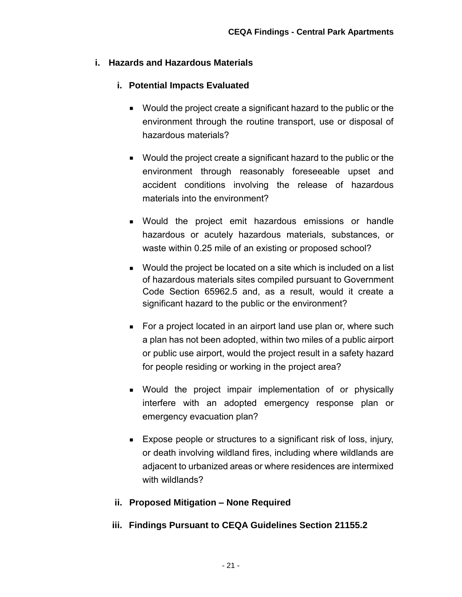#### **i. Hazards and Hazardous Materials**

## **i. Potential Impacts Evaluated**

- Would the project create a significant hazard to the public or the environment through the routine transport, use or disposal of hazardous materials?
- Would the project create a significant hazard to the public or the environment through reasonably foreseeable upset and accident conditions involving the release of hazardous materials into the environment?
- Would the project emit hazardous emissions or handle hazardous or acutely hazardous materials, substances, or waste within 0.25 mile of an existing or proposed school?
- Would the project be located on a site which is included on a list of hazardous materials sites compiled pursuant to Government Code Section 65962.5 and, as a result, would it create a significant hazard to the public or the environment?
- For a project located in an airport land use plan or, where such a plan has not been adopted, within two miles of a public airport or public use airport, would the project result in a safety hazard for people residing or working in the project area?
- Would the project impair implementation of or physically interfere with an adopted emergency response plan or emergency evacuation plan?
- **Expose people or structures to a significant risk of loss, injury,** or death involving wildland fires, including where wildlands are adjacent to urbanized areas or where residences are intermixed with wildlands?

## **ii. Proposed Mitigation – None Required**

## **iii. Findings Pursuant to CEQA Guidelines Section 21155.2**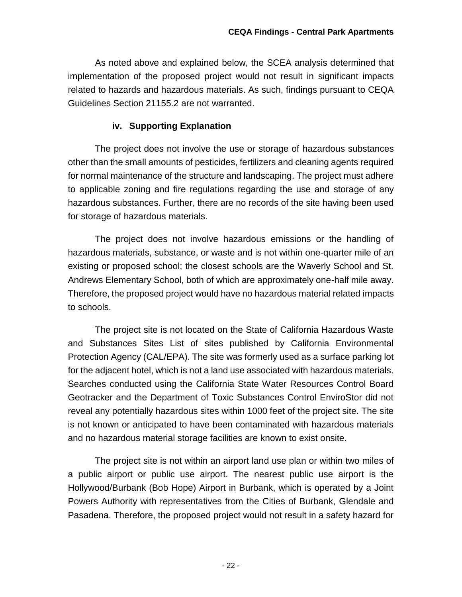As noted above and explained below, the SCEA analysis determined that implementation of the proposed project would not result in significant impacts related to hazards and hazardous materials. As such, findings pursuant to CEQA Guidelines Section 21155.2 are not warranted.

#### **iv. Supporting Explanation**

The project does not involve the use or storage of hazardous substances other than the small amounts of pesticides, fertilizers and cleaning agents required for normal maintenance of the structure and landscaping. The project must adhere to applicable zoning and fire regulations regarding the use and storage of any hazardous substances. Further, there are no records of the site having been used for storage of hazardous materials.

The project does not involve hazardous emissions or the handling of hazardous materials, substance, or waste and is not within one-quarter mile of an existing or proposed school; the closest schools are the Waverly School and St. Andrews Elementary School, both of which are approximately one-half mile away. Therefore, the proposed project would have no hazardous material related impacts to schools.

The project site is not located on the State of California Hazardous Waste and Substances Sites List of sites published by California Environmental Protection Agency (CAL/EPA). The site was formerly used as a surface parking lot for the adjacent hotel, which is not a land use associated with hazardous materials. Searches conducted using the California State Water Resources Control Board Geotracker and the Department of Toxic Substances Control EnviroStor did not reveal any potentially hazardous sites within 1000 feet of the project site. The site is not known or anticipated to have been contaminated with hazardous materials and no hazardous material storage facilities are known to exist onsite.

The project site is not within an airport land use plan or within two miles of a public airport or public use airport. The nearest public use airport is the Hollywood/Burbank (Bob Hope) Airport in Burbank, which is operated by a Joint Powers Authority with representatives from the Cities of Burbank, Glendale and Pasadena. Therefore, the proposed project would not result in a safety hazard for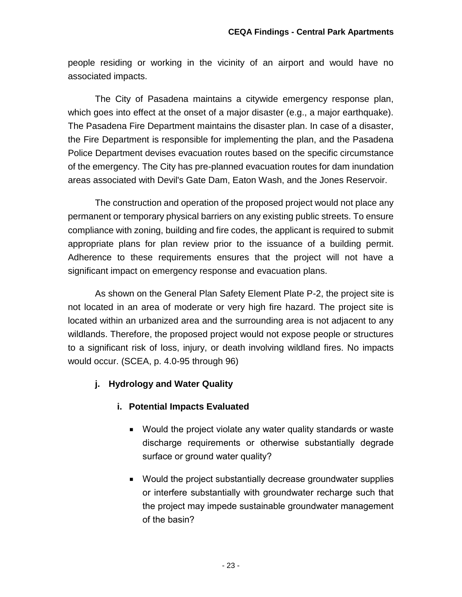people residing or working in the vicinity of an airport and would have no associated impacts.

The City of Pasadena maintains a citywide emergency response plan, which goes into effect at the onset of a major disaster (e.g., a major earthquake). The Pasadena Fire Department maintains the disaster plan. In case of a disaster, the Fire Department is responsible for implementing the plan, and the Pasadena Police Department devises evacuation routes based on the specific circumstance of the emergency. The City has pre-planned evacuation routes for dam inundation areas associated with Devil's Gate Dam, Eaton Wash, and the Jones Reservoir.

The construction and operation of the proposed project would not place any permanent or temporary physical barriers on any existing public streets. To ensure compliance with zoning, building and fire codes, the applicant is required to submit appropriate plans for plan review prior to the issuance of a building permit. Adherence to these requirements ensures that the project will not have a significant impact on emergency response and evacuation plans.

As shown on the General Plan Safety Element Plate P-2, the project site is not located in an area of moderate or very high fire hazard. The project site is located within an urbanized area and the surrounding area is not adjacent to any wildlands. Therefore, the proposed project would not expose people or structures to a significant risk of loss, injury, or death involving wildland fires. No impacts would occur. (SCEA, p. 4.0-95 through 96)

## **j. Hydrology and Water Quality**

## **i. Potential Impacts Evaluated**

- Would the project violate any water quality standards or waste discharge requirements or otherwise substantially degrade surface or ground water quality?
- Would the project substantially decrease groundwater supplies or interfere substantially with groundwater recharge such that the project may impede sustainable groundwater management of the basin?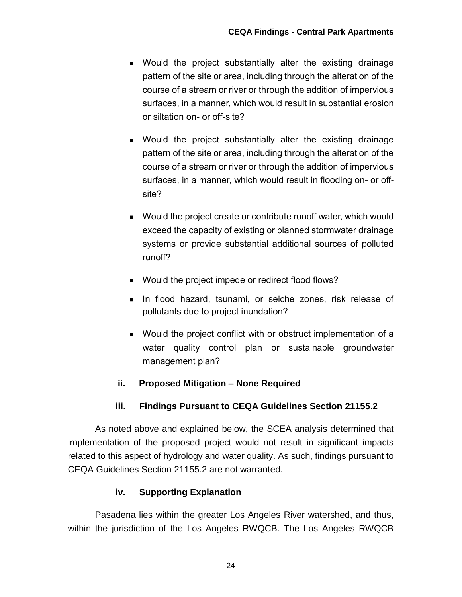- Would the project substantially alter the existing drainage pattern of the site or area, including through the alteration of the course of a stream or river or through the addition of impervious surfaces, in a manner, which would result in substantial erosion or siltation on- or off-site?
- Would the project substantially alter the existing drainage pattern of the site or area, including through the alteration of the course of a stream or river or through the addition of impervious surfaces, in a manner, which would result in flooding on- or offsite?
- Would the project create or contribute runoff water, which would exceed the capacity of existing or planned stormwater drainage systems or provide substantial additional sources of polluted runoff?
- Would the project impede or redirect flood flows?
- **In flood hazard, tsunami, or seiche zones, risk release of** pollutants due to project inundation?
- Would the project conflict with or obstruct implementation of a water quality control plan or sustainable groundwater management plan?

## **ii. Proposed Mitigation – None Required**

## **iii. Findings Pursuant to CEQA Guidelines Section 21155.2**

As noted above and explained below, the SCEA analysis determined that implementation of the proposed project would not result in significant impacts related to this aspect of hydrology and water quality. As such, findings pursuant to CEQA Guidelines Section 21155.2 are not warranted.

#### **iv. Supporting Explanation**

Pasadena lies within the greater Los Angeles River watershed, and thus, within the jurisdiction of the Los Angeles RWQCB. The Los Angeles RWQCB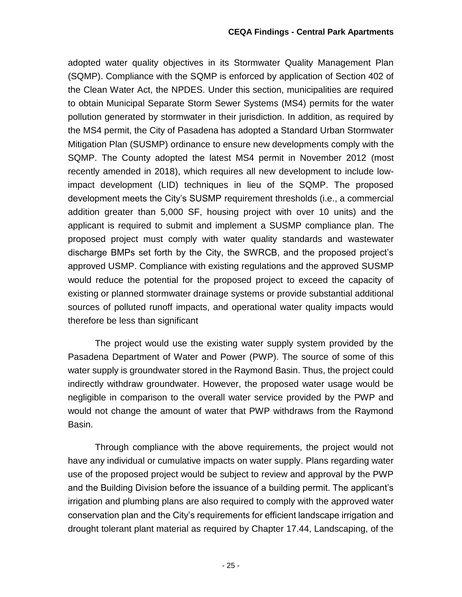adopted water quality objectives in its Stormwater Quality Management Plan (SQMP). Compliance with the SQMP is enforced by application of Section 402 of the Clean Water Act, the NPDES. Under this section, municipalities are required to obtain Municipal Separate Storm Sewer Systems (MS4) permits for the water pollution generated by stormwater in their jurisdiction. In addition, as required by the MS4 permit, the City of Pasadena has adopted a Standard Urban Stormwater Mitigation Plan (SUSMP) ordinance to ensure new developments comply with the SQMP. The County adopted the latest MS4 permit in November 2012 (most recently amended in 2018), which requires all new development to include lowimpact development (LID) techniques in lieu of the SQMP. The proposed development meets the City's SUSMP requirement thresholds (i.e., a commercial addition greater than 5,000 SF, housing project with over 10 units) and the applicant is required to submit and implement a SUSMP compliance plan. The proposed project must comply with water quality standards and wastewater discharge BMPs set forth by the City, the SWRCB, and the proposed project's approved USMP. Compliance with existing regulations and the approved SUSMP would reduce the potential for the proposed project to exceed the capacity of existing or planned stormwater drainage systems or provide substantial additional sources of polluted runoff impacts, and operational water quality impacts would therefore be less than significant

The project would use the existing water supply system provided by the Pasadena Department of Water and Power (PWP). The source of some of this water supply is groundwater stored in the Raymond Basin. Thus, the project could indirectly withdraw groundwater. However, the proposed water usage would be negligible in comparison to the overall water service provided by the PWP and would not change the amount of water that PWP withdraws from the Raymond Basin.

Through compliance with the above requirements, the project would not have any individual or cumulative impacts on water supply. Plans regarding water use of the proposed project would be subject to review and approval by the PWP and the Building Division before the issuance of a building permit. The applicant's irrigation and plumbing plans are also required to comply with the approved water conservation plan and the City's requirements for efficient landscape irrigation and drought tolerant plant material as required by Chapter 17.44, Landscaping, of the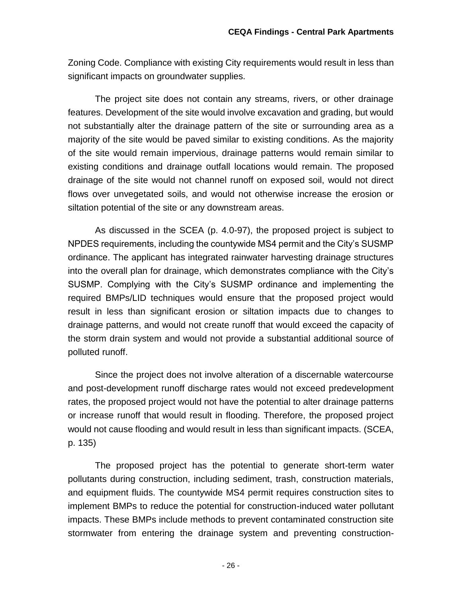Zoning Code. Compliance with existing City requirements would result in less than significant impacts on groundwater supplies.

The project site does not contain any streams, rivers, or other drainage features. Development of the site would involve excavation and grading, but would not substantially alter the drainage pattern of the site or surrounding area as a majority of the site would be paved similar to existing conditions. As the majority of the site would remain impervious, drainage patterns would remain similar to existing conditions and drainage outfall locations would remain. The proposed drainage of the site would not channel runoff on exposed soil, would not direct flows over unvegetated soils, and would not otherwise increase the erosion or siltation potential of the site or any downstream areas.

As discussed in the SCEA (p. 4.0-97), the proposed project is subject to NPDES requirements, including the countywide MS4 permit and the City's SUSMP ordinance. The applicant has integrated rainwater harvesting drainage structures into the overall plan for drainage, which demonstrates compliance with the City's SUSMP. Complying with the City's SUSMP ordinance and implementing the required BMPs/LID techniques would ensure that the proposed project would result in less than significant erosion or siltation impacts due to changes to drainage patterns, and would not create runoff that would exceed the capacity of the storm drain system and would not provide a substantial additional source of polluted runoff.

Since the project does not involve alteration of a discernable watercourse and post-development runoff discharge rates would not exceed predevelopment rates, the proposed project would not have the potential to alter drainage patterns or increase runoff that would result in flooding. Therefore, the proposed project would not cause flooding and would result in less than significant impacts. (SCEA, p. 135)

The proposed project has the potential to generate short-term water pollutants during construction, including sediment, trash, construction materials, and equipment fluids. The countywide MS4 permit requires construction sites to implement BMPs to reduce the potential for construction-induced water pollutant impacts. These BMPs include methods to prevent contaminated construction site stormwater from entering the drainage system and preventing construction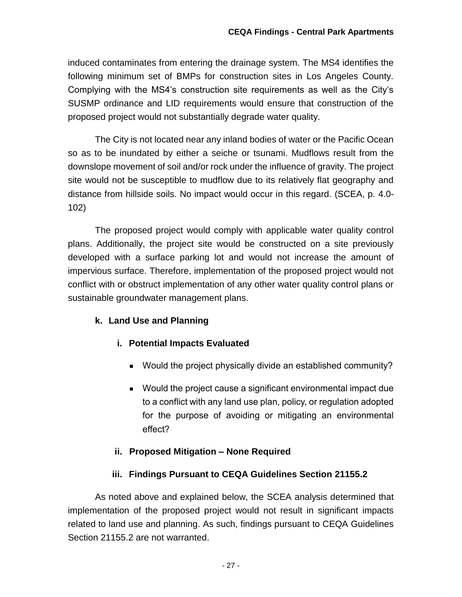induced contaminates from entering the drainage system. The MS4 identifies the following minimum set of BMPs for construction sites in Los Angeles County. Complying with the MS4's construction site requirements as well as the City's SUSMP ordinance and LID requirements would ensure that construction of the proposed project would not substantially degrade water quality.

The City is not located near any inland bodies of water or the Pacific Ocean so as to be inundated by either a seiche or tsunami. Mudflows result from the downslope movement of soil and/or rock under the influence of gravity. The project site would not be susceptible to mudflow due to its relatively flat geography and distance from hillside soils. No impact would occur in this regard. (SCEA, p. 4.0- 102)

The proposed project would comply with applicable water quality control plans. Additionally, the project site would be constructed on a site previously developed with a surface parking lot and would not increase the amount of impervious surface. Therefore, implementation of the proposed project would not conflict with or obstruct implementation of any other water quality control plans or sustainable groundwater management plans.

## **k. Land Use and Planning**

## **i. Potential Impacts Evaluated**

- Would the project physically divide an established community?
- Would the project cause a significant environmental impact due to a conflict with any land use plan, policy, or regulation adopted for the purpose of avoiding or mitigating an environmental effect?

#### **ii. Proposed Mitigation – None Required**

#### **iii. Findings Pursuant to CEQA Guidelines Section 21155.2**

As noted above and explained below, the SCEA analysis determined that implementation of the proposed project would not result in significant impacts related to land use and planning. As such, findings pursuant to CEQA Guidelines Section 21155.2 are not warranted.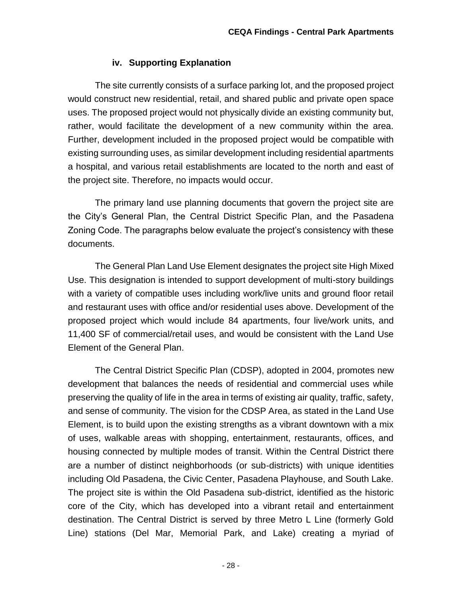#### **iv. Supporting Explanation**

The site currently consists of a surface parking lot, and the proposed project would construct new residential, retail, and shared public and private open space uses. The proposed project would not physically divide an existing community but, rather, would facilitate the development of a new community within the area. Further, development included in the proposed project would be compatible with existing surrounding uses, as similar development including residential apartments a hospital, and various retail establishments are located to the north and east of the project site. Therefore, no impacts would occur.

The primary land use planning documents that govern the project site are the City's General Plan, the Central District Specific Plan, and the Pasadena Zoning Code. The paragraphs below evaluate the project's consistency with these documents.

The General Plan Land Use Element designates the project site High Mixed Use. This designation is intended to support development of multi-story buildings with a variety of compatible uses including work/live units and ground floor retail and restaurant uses with office and/or residential uses above. Development of the proposed project which would include 84 apartments, four live/work units, and 11,400 SF of commercial/retail uses, and would be consistent with the Land Use Element of the General Plan.

The Central District Specific Plan (CDSP), adopted in 2004, promotes new development that balances the needs of residential and commercial uses while preserving the quality of life in the area in terms of existing air quality, traffic, safety, and sense of community. The vision for the CDSP Area, as stated in the Land Use Element, is to build upon the existing strengths as a vibrant downtown with a mix of uses, walkable areas with shopping, entertainment, restaurants, offices, and housing connected by multiple modes of transit. Within the Central District there are a number of distinct neighborhoods (or sub-districts) with unique identities including Old Pasadena, the Civic Center, Pasadena Playhouse, and South Lake. The project site is within the Old Pasadena sub-district, identified as the historic core of the City, which has developed into a vibrant retail and entertainment destination. The Central District is served by three Metro L Line (formerly Gold Line) stations (Del Mar, Memorial Park, and Lake) creating a myriad of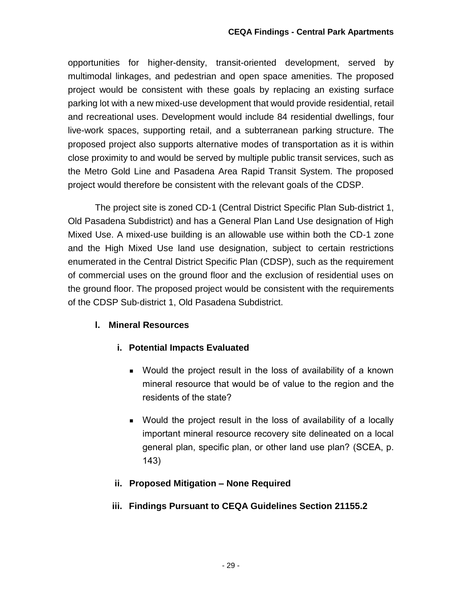opportunities for higher-density, transit-oriented development, served by multimodal linkages, and pedestrian and open space amenities. The proposed project would be consistent with these goals by replacing an existing surface parking lot with a new mixed-use development that would provide residential, retail and recreational uses. Development would include 84 residential dwellings, four live-work spaces, supporting retail, and a subterranean parking structure. The proposed project also supports alternative modes of transportation as it is within close proximity to and would be served by multiple public transit services, such as the Metro Gold Line and Pasadena Area Rapid Transit System. The proposed project would therefore be consistent with the relevant goals of the CDSP.

The project site is zoned CD‐1 (Central District Specific Plan Sub‐district 1, Old Pasadena Subdistrict) and has a General Plan Land Use designation of High Mixed Use. A mixed‐use building is an allowable use within both the CD‐1 zone and the High Mixed Use land use designation, subject to certain restrictions enumerated in the Central District Specific Plan (CDSP), such as the requirement of commercial uses on the ground floor and the exclusion of residential uses on the ground floor. The proposed project would be consistent with the requirements of the CDSP Sub‐district 1, Old Pasadena Subdistrict.

## **l. Mineral Resources**

- **i. Potential Impacts Evaluated**
	- Would the project result in the loss of availability of a known mineral resource that would be of value to the region and the residents of the state?
	- Would the project result in the loss of availability of a locally important mineral resource recovery site delineated on a local general plan, specific plan, or other land use plan? (SCEA, p. 143)

## **ii. Proposed Mitigation – None Required**

## **iii. Findings Pursuant to CEQA Guidelines Section 21155.2**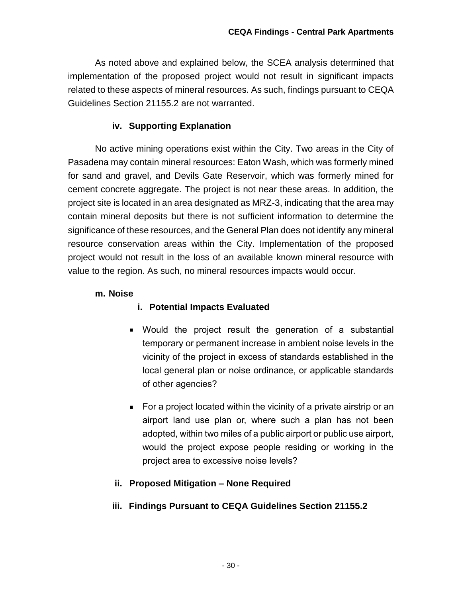As noted above and explained below, the SCEA analysis determined that implementation of the proposed project would not result in significant impacts related to these aspects of mineral resources. As such, findings pursuant to CEQA Guidelines Section 21155.2 are not warranted.

#### **iv. Supporting Explanation**

No active mining operations exist within the City. Two areas in the City of Pasadena may contain mineral resources: Eaton Wash, which was formerly mined for sand and gravel, and Devils Gate Reservoir, which was formerly mined for cement concrete aggregate. The project is not near these areas. In addition, the project site is located in an area designated as MRZ-3, indicating that the area may contain mineral deposits but there is not sufficient information to determine the significance of these resources, and the General Plan does not identify any mineral resource conservation areas within the City. Implementation of the proposed project would not result in the loss of an available known mineral resource with value to the region. As such, no mineral resources impacts would occur.

#### **m. Noise**

#### **i. Potential Impacts Evaluated**

- Would the project result the generation of a substantial temporary or permanent increase in ambient noise levels in the vicinity of the project in excess of standards established in the local general plan or noise ordinance, or applicable standards of other agencies?
- **For a project located within the vicinity of a private airstrip or an** airport land use plan or, where such a plan has not been adopted, within two miles of a public airport or public use airport, would the project expose people residing or working in the project area to excessive noise levels?

#### **ii. Proposed Mitigation – None Required**

#### **iii. Findings Pursuant to CEQA Guidelines Section 21155.2**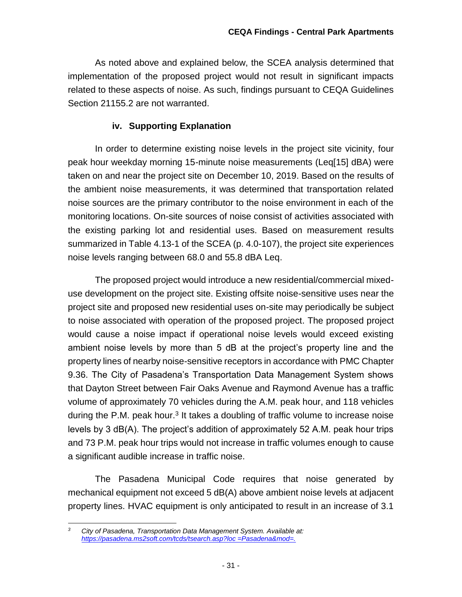As noted above and explained below, the SCEA analysis determined that implementation of the proposed project would not result in significant impacts related to these aspects of noise. As such, findings pursuant to CEQA Guidelines Section 21155.2 are not warranted.

#### **iv. Supporting Explanation**

In order to determine existing noise levels in the project site vicinity, four peak hour weekday morning 15-minute noise measurements (Leq[15] dBA) were taken on and near the project site on December 10, 2019. Based on the results of the ambient noise measurements, it was determined that transportation related noise sources are the primary contributor to the noise environment in each of the monitoring locations. On-site sources of noise consist of activities associated with the existing parking lot and residential uses. Based on measurement results summarized in Table 4.13-1 of the SCEA (p. 4.0-107), the project site experiences noise levels ranging between 68.0 and 55.8 dBA Leq.

The proposed project would introduce a new residential/commercial mixeduse development on the project site. Existing offsite noise-sensitive uses near the project site and proposed new residential uses on-site may periodically be subject to noise associated with operation of the proposed project. The proposed project would cause a noise impact if operational noise levels would exceed existing ambient noise levels by more than 5 dB at the project's property line and the property lines of nearby noise-sensitive receptors in accordance with PMC Chapter 9.36. The City of Pasadena's Transportation Data Management System shows that Dayton Street between Fair Oaks Avenue and Raymond Avenue has a traffic volume of approximately 70 vehicles during the A.M. peak hour, and 118 vehicles during the P.M. peak hour.<sup>3</sup> It takes a doubling of traffic volume to increase noise levels by 3 dB(A). The project's addition of approximately 52 A.M. peak hour trips and 73 P.M. peak hour trips would not increase in traffic volumes enough to cause a significant audible increase in traffic noise.

The Pasadena Municipal Code requires that noise generated by mechanical equipment not exceed 5 dB(A) above ambient noise levels at adjacent property lines. HVAC equipment is only anticipated to result in an increase of 3.1

 $\overline{3}$ *<sup>3</sup> City of Pasadena, Transportation Data Management System. Available at: [https://pasadena.ms2soft.com/tcds/tsearch.asp?loc =Pasadena&mod=.](https://pasadena.ms2soft.com/tcds/tsearch.asp?loc%20=Pasadena&mod=.)*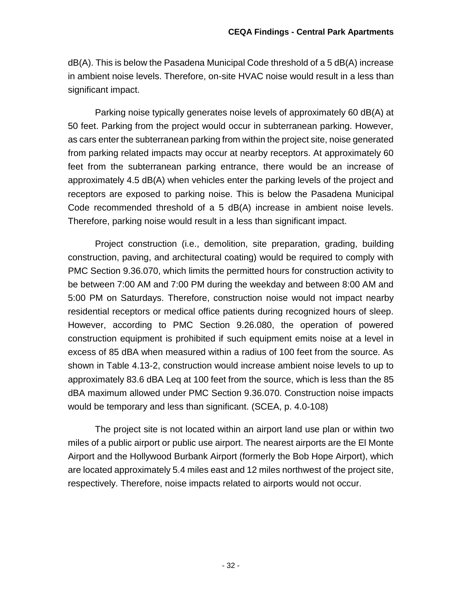dB(A). This is below the Pasadena Municipal Code threshold of a 5 dB(A) increase in ambient noise levels. Therefore, on-site HVAC noise would result in a less than significant impact.

Parking noise typically generates noise levels of approximately 60 dB(A) at 50 feet. Parking from the project would occur in subterranean parking. However, as cars enter the subterranean parking from within the project site, noise generated from parking related impacts may occur at nearby receptors. At approximately 60 feet from the subterranean parking entrance, there would be an increase of approximately 4.5 dB(A) when vehicles enter the parking levels of the project and receptors are exposed to parking noise. This is below the Pasadena Municipal Code recommended threshold of a 5 dB(A) increase in ambient noise levels. Therefore, parking noise would result in a less than significant impact.

Project construction (i.e., demolition, site preparation, grading, building construction, paving, and architectural coating) would be required to comply with PMC Section 9.36.070, which limits the permitted hours for construction activity to be between 7:00 AM and 7:00 PM during the weekday and between 8:00 AM and 5:00 PM on Saturdays. Therefore, construction noise would not impact nearby residential receptors or medical office patients during recognized hours of sleep. However, according to PMC Section 9.26.080, the operation of powered construction equipment is prohibited if such equipment emits noise at a level in excess of 85 dBA when measured within a radius of 100 feet from the source. As shown in Table 4.13-2, construction would increase ambient noise levels to up to approximately 83.6 dBA Leq at 100 feet from the source, which is less than the 85 dBA maximum allowed under PMC Section 9.36.070. Construction noise impacts would be temporary and less than significant. (SCEA, p. 4.0-108)

The project site is not located within an airport land use plan or within two miles of a public airport or public use airport. The nearest airports are the El Monte Airport and the Hollywood Burbank Airport (formerly the Bob Hope Airport), which are located approximately 5.4 miles east and 12 miles northwest of the project site, respectively. Therefore, noise impacts related to airports would not occur.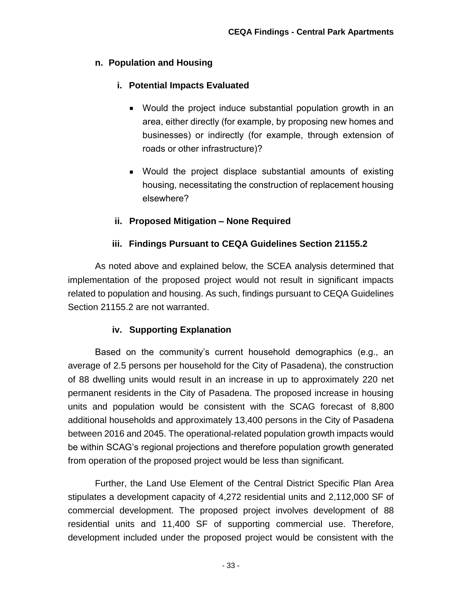#### **n. Population and Housing**

## **i. Potential Impacts Evaluated**

- Would the project induce substantial population growth in an area, either directly (for example, by proposing new homes and businesses) or indirectly (for example, through extension of roads or other infrastructure)?
- Would the project displace substantial amounts of existing housing, necessitating the construction of replacement housing elsewhere?

## **ii. Proposed Mitigation – None Required**

## **iii. Findings Pursuant to CEQA Guidelines Section 21155.2**

As noted above and explained below, the SCEA analysis determined that implementation of the proposed project would not result in significant impacts related to population and housing. As such, findings pursuant to CEQA Guidelines Section 21155.2 are not warranted.

## **iv. Supporting Explanation**

Based on the community's current household demographics (e.g., an average of 2.5 persons per household for the City of Pasadena), the construction of 88 dwelling units would result in an increase in up to approximately 220 net permanent residents in the City of Pasadena. The proposed increase in housing units and population would be consistent with the SCAG forecast of 8,800 additional households and approximately 13,400 persons in the City of Pasadena between 2016 and 2045. The operational-related population growth impacts would be within SCAG's regional projections and therefore population growth generated from operation of the proposed project would be less than significant.

Further, the Land Use Element of the Central District Specific Plan Area stipulates a development capacity of 4,272 residential units and 2,112,000 SF of commercial development. The proposed project involves development of 88 residential units and 11,400 SF of supporting commercial use. Therefore, development included under the proposed project would be consistent with the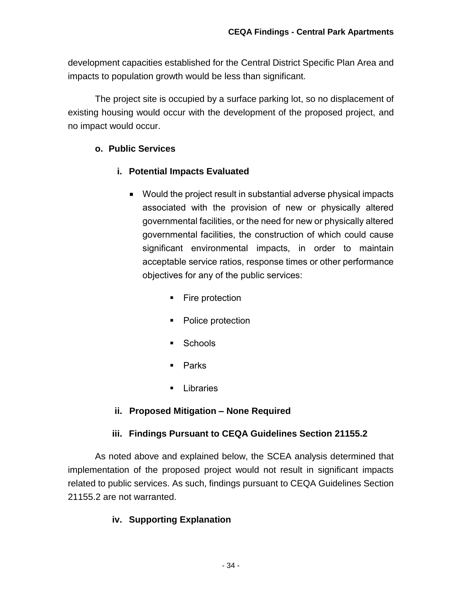development capacities established for the Central District Specific Plan Area and impacts to population growth would be less than significant.

The project site is occupied by a surface parking lot, so no displacement of existing housing would occur with the development of the proposed project, and no impact would occur.

## **o. Public Services**

## **i. Potential Impacts Evaluated**

- Would the project result in substantial adverse physical impacts associated with the provision of new or physically altered governmental facilities, or the need for new or physically altered governmental facilities, the construction of which could cause significant environmental impacts, in order to maintain acceptable service ratios, response times or other performance objectives for any of the public services:
	- Fire protection
	- Police protection
	- Schools
	- **Parks**
	- **Libraries**

## **ii. Proposed Mitigation – None Required**

## **iii. Findings Pursuant to CEQA Guidelines Section 21155.2**

As noted above and explained below, the SCEA analysis determined that implementation of the proposed project would not result in significant impacts related to public services. As such, findings pursuant to CEQA Guidelines Section 21155.2 are not warranted.

## **iv. Supporting Explanation**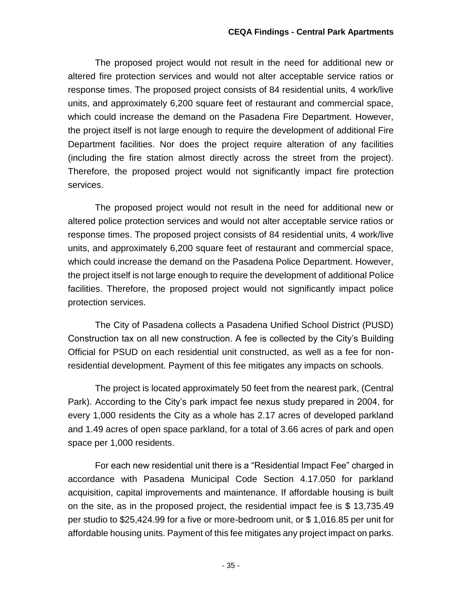The proposed project would not result in the need for additional new or altered fire protection services and would not alter acceptable service ratios or response times. The proposed project consists of 84 residential units, 4 work/live units, and approximately 6,200 square feet of restaurant and commercial space, which could increase the demand on the Pasadena Fire Department. However, the project itself is not large enough to require the development of additional Fire Department facilities. Nor does the project require alteration of any facilities (including the fire station almost directly across the street from the project). Therefore, the proposed project would not significantly impact fire protection services.

The proposed project would not result in the need for additional new or altered police protection services and would not alter acceptable service ratios or response times. The proposed project consists of 84 residential units, 4 work/live units, and approximately 6,200 square feet of restaurant and commercial space, which could increase the demand on the Pasadena Police Department. However, the project itself is not large enough to require the development of additional Police facilities. Therefore, the proposed project would not significantly impact police protection services.

The City of Pasadena collects a Pasadena Unified School District (PUSD) Construction tax on all new construction. A fee is collected by the City's Building Official for PSUD on each residential unit constructed, as well as a fee for nonresidential development. Payment of this fee mitigates any impacts on schools.

The project is located approximately 50 feet from the nearest park, (Central Park). According to the City's park impact fee nexus study prepared in 2004, for every 1,000 residents the City as a whole has 2.17 acres of developed parkland and 1.49 acres of open space parkland, for a total of 3.66 acres of park and open space per 1,000 residents.

For each new residential unit there is a "Residential Impact Fee" charged in accordance with Pasadena Municipal Code Section 4.17.050 for parkland acquisition, capital improvements and maintenance. If affordable housing is built on the site, as in the proposed project, the residential impact fee is \$ 13,735.49 per studio to \$25,424.99 for a five or more-bedroom unit, or \$ 1,016.85 per unit for affordable housing units. Payment of this fee mitigates any project impact on parks.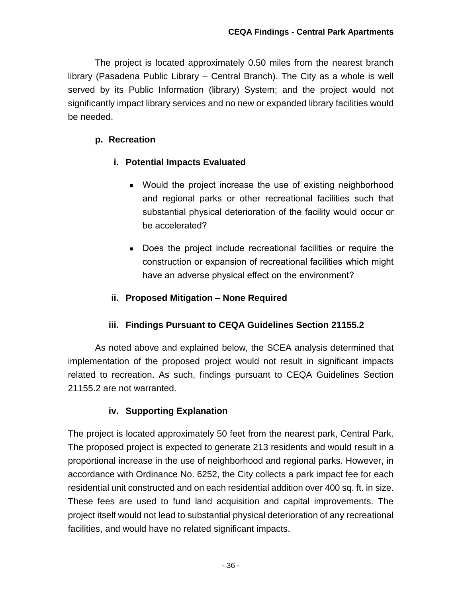The project is located approximately 0.50 miles from the nearest branch library (Pasadena Public Library – Central Branch). The City as a whole is well served by its Public Information (library) System; and the project would not significantly impact library services and no new or expanded library facilities would be needed.

#### **p. Recreation**

#### **i. Potential Impacts Evaluated**

- Would the project increase the use of existing neighborhood and regional parks or other recreational facilities such that substantial physical deterioration of the facility would occur or be accelerated?
- Does the project include recreational facilities or require the construction or expansion of recreational facilities which might have an adverse physical effect on the environment?

#### **ii. Proposed Mitigation – None Required**

## **iii. Findings Pursuant to CEQA Guidelines Section 21155.2**

As noted above and explained below, the SCEA analysis determined that implementation of the proposed project would not result in significant impacts related to recreation. As such, findings pursuant to CEQA Guidelines Section 21155.2 are not warranted.

#### **iv. Supporting Explanation**

The project is located approximately 50 feet from the nearest park, Central Park. The proposed project is expected to generate 213 residents and would result in a proportional increase in the use of neighborhood and regional parks. However, in accordance with Ordinance No. 6252, the City collects a park impact fee for each residential unit constructed and on each residential addition over 400 sq. ft. in size. These fees are used to fund land acquisition and capital improvements. The project itself would not lead to substantial physical deterioration of any recreational facilities, and would have no related significant impacts.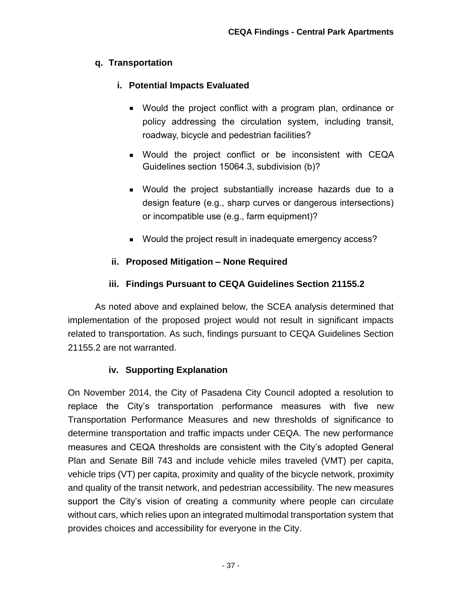## **q. Transportation**

## **i. Potential Impacts Evaluated**

- Would the project conflict with a program plan, ordinance or policy addressing the circulation system, including transit, roadway, bicycle and pedestrian facilities?
- Would the project conflict or be inconsistent with CEQA Guidelines section 15064.3, subdivision (b)?
- Would the project substantially increase hazards due to a design feature (e.g., sharp curves or dangerous intersections) or incompatible use (e.g., farm equipment)?
- Would the project result in inadequate emergency access?

## **ii. Proposed Mitigation – None Required**

## **iii. Findings Pursuant to CEQA Guidelines Section 21155.2**

As noted above and explained below, the SCEA analysis determined that implementation of the proposed project would not result in significant impacts related to transportation. As such, findings pursuant to CEQA Guidelines Section 21155.2 are not warranted.

## **iv. Supporting Explanation**

On November 2014, the City of Pasadena City Council adopted a resolution to replace the City's transportation performance measures with five new Transportation Performance Measures and new thresholds of significance to determine transportation and traffic impacts under CEQA. The new performance measures and CEQA thresholds are consistent with the City's adopted General Plan and Senate Bill 743 and include vehicle miles traveled (VMT) per capita, vehicle trips (VT) per capita, proximity and quality of the bicycle network, proximity and quality of the transit network, and pedestrian accessibility. The new measures support the City's vision of creating a community where people can circulate without cars, which relies upon an integrated multimodal transportation system that provides choices and accessibility for everyone in the City.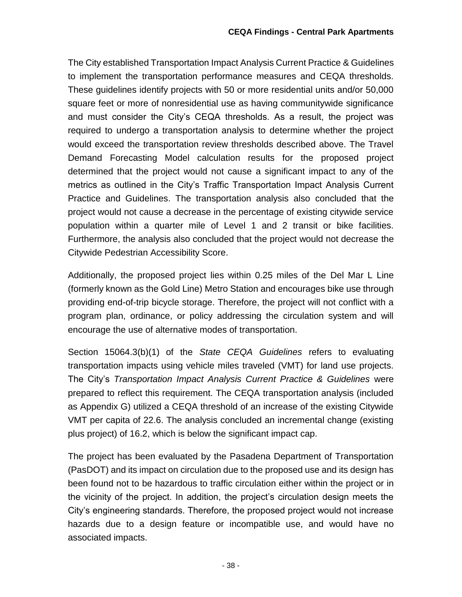The City established Transportation Impact Analysis Current Practice & Guidelines to implement the transportation performance measures and CEQA thresholds. These guidelines identify projects with 50 or more residential units and/or 50,000 square feet or more of nonresidential use as having communitywide significance and must consider the City's CEQA thresholds. As a result, the project was required to undergo a transportation analysis to determine whether the project would exceed the transportation review thresholds described above. The Travel Demand Forecasting Model calculation results for the proposed project determined that the project would not cause a significant impact to any of the metrics as outlined in the City's Traffic Transportation Impact Analysis Current Practice and Guidelines. The transportation analysis also concluded that the project would not cause a decrease in the percentage of existing citywide service population within a quarter mile of Level 1 and 2 transit or bike facilities. Furthermore, the analysis also concluded that the project would not decrease the Citywide Pedestrian Accessibility Score.

Additionally, the proposed project lies within 0.25 miles of the Del Mar L Line (formerly known as the Gold Line) Metro Station and encourages bike use through providing end-of-trip bicycle storage. Therefore, the project will not conflict with a program plan, ordinance, or policy addressing the circulation system and will encourage the use of alternative modes of transportation.

Section 15064.3(b)(1) of the *State CEQA Guidelines* refers to evaluating transportation impacts using vehicle miles traveled (VMT) for land use projects. The City's *Transportation Impact Analysis Current Practice & Guidelines* were prepared to reflect this requirement. The CEQA transportation analysis (included as Appendix G) utilized a CEQA threshold of an increase of the existing Citywide VMT per capita of 22.6. The analysis concluded an incremental change (existing plus project) of 16.2, which is below the significant impact cap.

The project has been evaluated by the Pasadena Department of Transportation (PasDOT) and its impact on circulation due to the proposed use and its design has been found not to be hazardous to traffic circulation either within the project or in the vicinity of the project. In addition, the project's circulation design meets the City's engineering standards. Therefore, the proposed project would not increase hazards due to a design feature or incompatible use, and would have no associated impacts.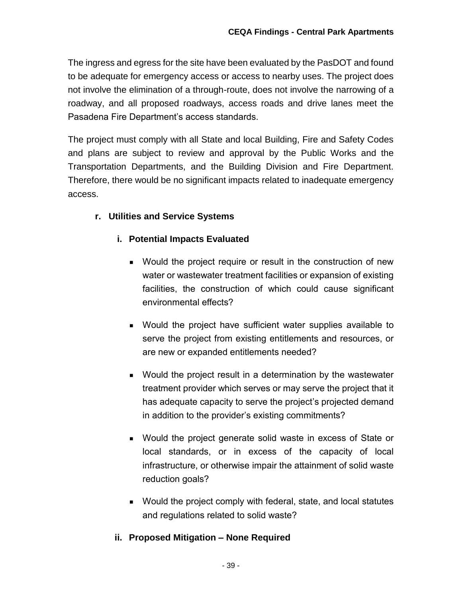The ingress and egress for the site have been evaluated by the PasDOT and found to be adequate for emergency access or access to nearby uses. The project does not involve the elimination of a through-route, does not involve the narrowing of a roadway, and all proposed roadways, access roads and drive lanes meet the Pasadena Fire Department's access standards.

The project must comply with all State and local Building, Fire and Safety Codes and plans are subject to review and approval by the Public Works and the Transportation Departments, and the Building Division and Fire Department. Therefore, there would be no significant impacts related to inadequate emergency access.

## **r. Utilities and Service Systems**

#### **i. Potential Impacts Evaluated**

- Would the project require or result in the construction of new water or wastewater treatment facilities or expansion of existing facilities, the construction of which could cause significant environmental effects?
- Would the project have sufficient water supplies available to serve the project from existing entitlements and resources, or are new or expanded entitlements needed?
- Would the project result in a determination by the wastewater treatment provider which serves or may serve the project that it has adequate capacity to serve the project's projected demand in addition to the provider's existing commitments?
- Would the project generate solid waste in excess of State or local standards, or in excess of the capacity of local infrastructure, or otherwise impair the attainment of solid waste reduction goals?
- Would the project comply with federal, state, and local statutes and regulations related to solid waste?

#### **ii. Proposed Mitigation – None Required**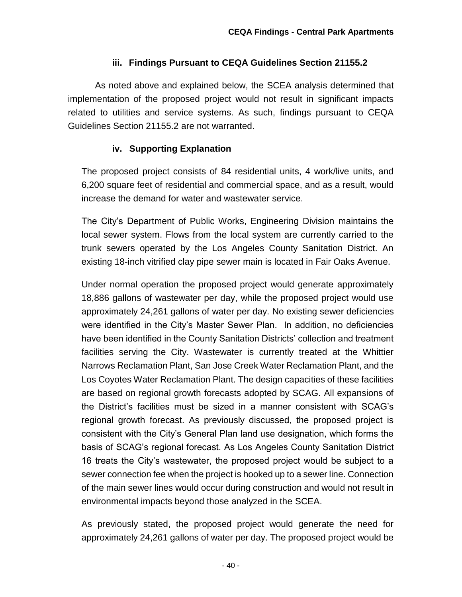#### **iii. Findings Pursuant to CEQA Guidelines Section 21155.2**

As noted above and explained below, the SCEA analysis determined that implementation of the proposed project would not result in significant impacts related to utilities and service systems. As such, findings pursuant to CEQA Guidelines Section 21155.2 are not warranted.

#### **iv. Supporting Explanation**

The proposed project consists of 84 residential units, 4 work/live units, and 6,200 square feet of residential and commercial space, and as a result, would increase the demand for water and wastewater service.

The City's Department of Public Works, Engineering Division maintains the local sewer system. Flows from the local system are currently carried to the trunk sewers operated by the Los Angeles County Sanitation District. An existing 18-inch vitrified clay pipe sewer main is located in Fair Oaks Avenue.

Under normal operation the proposed project would generate approximately 18,886 gallons of wastewater per day, while the proposed project would use approximately 24,261 gallons of water per day. No existing sewer deficiencies were identified in the City's Master Sewer Plan. In addition, no deficiencies have been identified in the County Sanitation Districts' collection and treatment facilities serving the City. Wastewater is currently treated at the Whittier Narrows Reclamation Plant, San Jose Creek Water Reclamation Plant, and the Los Coyotes Water Reclamation Plant. The design capacities of these facilities are based on regional growth forecasts adopted by SCAG. All expansions of the District's facilities must be sized in a manner consistent with SCAG's regional growth forecast. As previously discussed, the proposed project is consistent with the City's General Plan land use designation, which forms the basis of SCAG's regional forecast. As Los Angeles County Sanitation District 16 treats the City's wastewater, the proposed project would be subject to a sewer connection fee when the project is hooked up to a sewer line. Connection of the main sewer lines would occur during construction and would not result in environmental impacts beyond those analyzed in the SCEA.

As previously stated, the proposed project would generate the need for approximately 24,261 gallons of water per day. The proposed project would be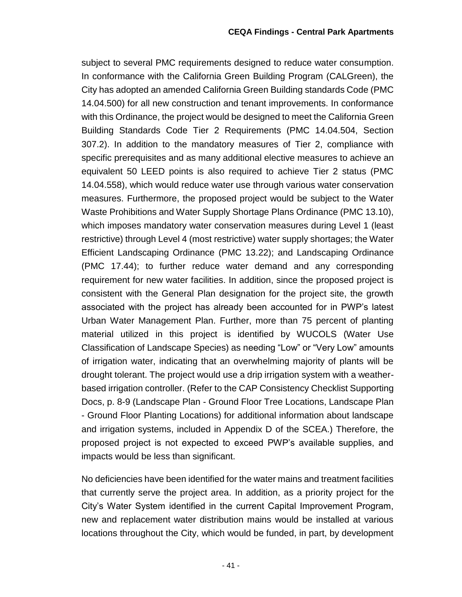subject to several PMC requirements designed to reduce water consumption. In conformance with the California Green Building Program (CALGreen), the City has adopted an amended California Green Building standards Code (PMC 14.04.500) for all new construction and tenant improvements. In conformance with this Ordinance, the project would be designed to meet the California Green Building Standards Code Tier 2 Requirements (PMC 14.04.504, Section 307.2). In addition to the mandatory measures of Tier 2, compliance with specific prerequisites and as many additional elective measures to achieve an equivalent 50 LEED points is also required to achieve Tier 2 status (PMC 14.04.558), which would reduce water use through various water conservation measures. Furthermore, the proposed project would be subject to the Water Waste Prohibitions and Water Supply Shortage Plans Ordinance (PMC 13.10), which imposes mandatory water conservation measures during Level 1 (least restrictive) through Level 4 (most restrictive) water supply shortages; the Water Efficient Landscaping Ordinance (PMC 13.22); and Landscaping Ordinance (PMC 17.44); to further reduce water demand and any corresponding requirement for new water facilities. In addition, since the proposed project is consistent with the General Plan designation for the project site, the growth associated with the project has already been accounted for in PWP's latest Urban Water Management Plan. Further, more than 75 percent of planting material utilized in this project is identified by WUCOLS (Water Use Classification of Landscape Species) as needing "Low" or "Very Low" amounts of irrigation water, indicating that an overwhelming majority of plants will be drought tolerant. The project would use a drip irrigation system with a weatherbased irrigation controller. (Refer to the CAP Consistency Checklist Supporting Docs, p. 8-9 (Landscape Plan - Ground Floor Tree Locations, Landscape Plan - Ground Floor Planting Locations) for additional information about landscape and irrigation systems, included in Appendix D of the SCEA.) Therefore, the proposed project is not expected to exceed PWP's available supplies, and impacts would be less than significant.

No deficiencies have been identified for the water mains and treatment facilities that currently serve the project area. In addition, as a priority project for the City's Water System identified in the current Capital Improvement Program, new and replacement water distribution mains would be installed at various locations throughout the City, which would be funded, in part, by development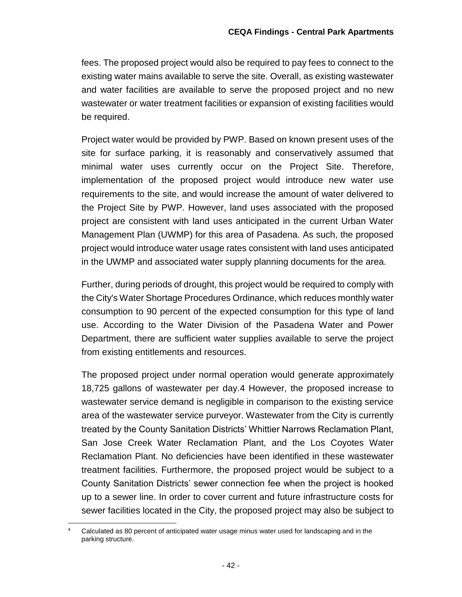fees. The proposed project would also be required to pay fees to connect to the existing water mains available to serve the site. Overall, as existing wastewater and water facilities are available to serve the proposed project and no new wastewater or water treatment facilities or expansion of existing facilities would be required.

Project water would be provided by PWP. Based on known present uses of the site for surface parking, it is reasonably and conservatively assumed that minimal water uses currently occur on the Project Site. Therefore, implementation of the proposed project would introduce new water use requirements to the site, and would increase the amount of water delivered to the Project Site by PWP. However, land uses associated with the proposed project are consistent with land uses anticipated in the current Urban Water Management Plan (UWMP) for this area of Pasadena. As such, the proposed project would introduce water usage rates consistent with land uses anticipated in the UWMP and associated water supply planning documents for the area.

Further, during periods of drought, this project would be required to comply with the City's Water Shortage Procedures Ordinance, which reduces monthly water consumption to 90 percent of the expected consumption for this type of land use. According to the Water Division of the Pasadena Water and Power Department, there are sufficient water supplies available to serve the project from existing entitlements and resources.

The proposed project under normal operation would generate approximately 18,725 gallons of wastewater per day.4 However, the proposed increase to wastewater service demand is negligible in comparison to the existing service area of the wastewater service purveyor. Wastewater from the City is currently treated by the County Sanitation Districts' Whittier Narrows Reclamation Plant, San Jose Creek Water Reclamation Plant, and the Los Coyotes Water Reclamation Plant. No deficiencies have been identified in these wastewater treatment facilities. Furthermore, the proposed project would be subject to a County Sanitation Districts' sewer connection fee when the project is hooked up to a sewer line. In order to cover current and future infrastructure costs for sewer facilities located in the City, the proposed project may also be subject to

 $\ddot{\phantom{a}}$ Calculated as 80 percent of anticipated water usage minus water used for landscaping and in the parking structure.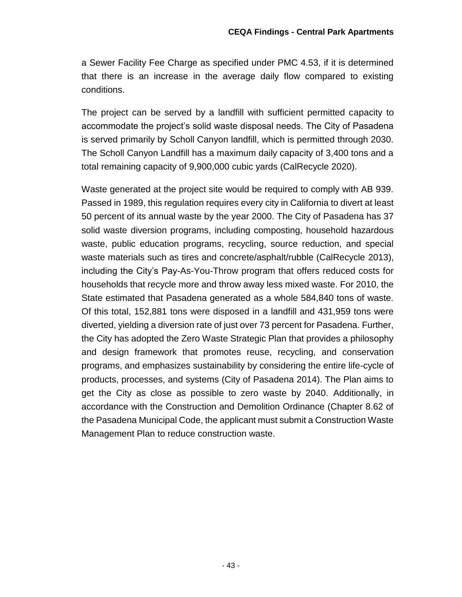a Sewer Facility Fee Charge as specified under PMC 4.53, if it is determined that there is an increase in the average daily flow compared to existing conditions.

The project can be served by a landfill with sufficient permitted capacity to accommodate the project's solid waste disposal needs. The City of Pasadena is served primarily by Scholl Canyon landfill, which is permitted through 2030. The Scholl Canyon Landfill has a maximum daily capacity of 3,400 tons and a total remaining capacity of 9,900,000 cubic yards (CalRecycle 2020).

Waste generated at the project site would be required to comply with AB 939. Passed in 1989, this regulation requires every city in California to divert at least 50 percent of its annual waste by the year 2000. The City of Pasadena has 37 solid waste diversion programs, including composting, household hazardous waste, public education programs, recycling, source reduction, and special waste materials such as tires and concrete/asphalt/rubble (CalRecycle 2013), including the City's Pay-As-You-Throw program that offers reduced costs for households that recycle more and throw away less mixed waste. For 2010, the State estimated that Pasadena generated as a whole 584,840 tons of waste. Of this total, 152,881 tons were disposed in a landfill and 431,959 tons were diverted, yielding a diversion rate of just over 73 percent for Pasadena. Further, the City has adopted the Zero Waste Strategic Plan that provides a philosophy and design framework that promotes reuse, recycling, and conservation programs, and emphasizes sustainability by considering the entire life-cycle of products, processes, and systems (City of Pasadena 2014). The Plan aims to get the City as close as possible to zero waste by 2040. Additionally, in accordance with the Construction and Demolition Ordinance (Chapter 8.62 of the Pasadena Municipal Code, the applicant must submit a Construction Waste Management Plan to reduce construction waste.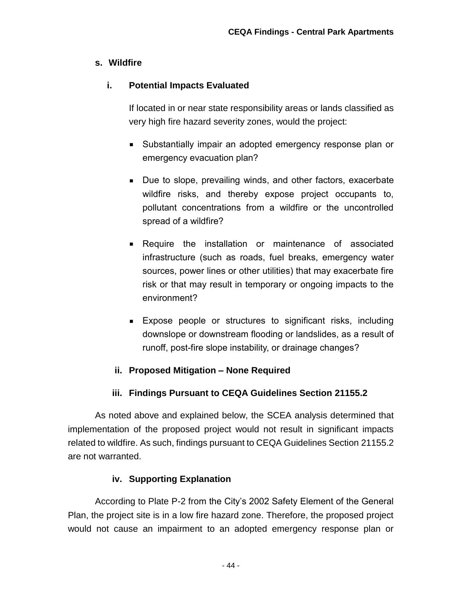#### **s. Wildfire**

## **i. Potential Impacts Evaluated**

If located in or near state responsibility areas or lands classified as very high fire hazard severity zones, would the project:

- Substantially impair an adopted emergency response plan or emergency evacuation plan?
- Due to slope, prevailing winds, and other factors, exacerbate wildfire risks, and thereby expose project occupants to, pollutant concentrations from a wildfire or the uncontrolled spread of a wildfire?
- **Require the installation or maintenance of associated** infrastructure (such as roads, fuel breaks, emergency water sources, power lines or other utilities) that may exacerbate fire risk or that may result in temporary or ongoing impacts to the environment?
- Expose people or structures to significant risks, including downslope or downstream flooding or landslides, as a result of runoff, post-fire slope instability, or drainage changes?

## **ii. Proposed Mitigation – None Required**

## **iii. Findings Pursuant to CEQA Guidelines Section 21155.2**

As noted above and explained below, the SCEA analysis determined that implementation of the proposed project would not result in significant impacts related to wildfire. As such, findings pursuant to CEQA Guidelines Section 21155.2 are not warranted.

## **iv. Supporting Explanation**

According to Plate P-2 from the City's 2002 Safety Element of the General Plan, the project site is in a low fire hazard zone. Therefore, the proposed project would not cause an impairment to an adopted emergency response plan or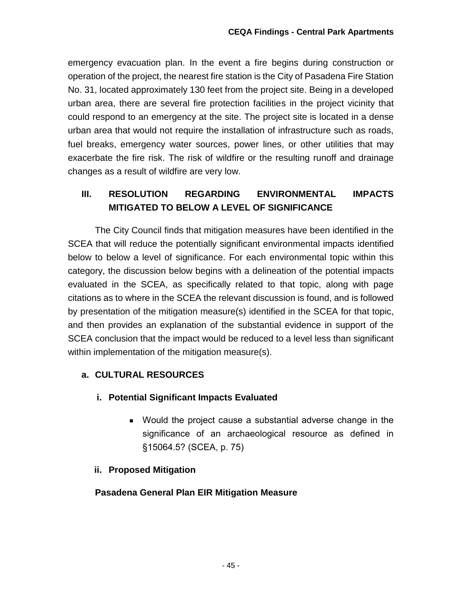emergency evacuation plan. In the event a fire begins during construction or operation of the project, the nearest fire station is the City of Pasadena Fire Station No. 31, located approximately 130 feet from the project site. Being in a developed urban area, there are several fire protection facilities in the project vicinity that could respond to an emergency at the site. The project site is located in a dense urban area that would not require the installation of infrastructure such as roads, fuel breaks, emergency water sources, power lines, or other utilities that may exacerbate the fire risk. The risk of wildfire or the resulting runoff and drainage changes as a result of wildfire are very low.

## **III. RESOLUTION REGARDING ENVIRONMENTAL IMPACTS MITIGATED TO BELOW A LEVEL OF SIGNIFICANCE**

The City Council finds that mitigation measures have been identified in the SCEA that will reduce the potentially significant environmental impacts identified below to below a level of significance. For each environmental topic within this category, the discussion below begins with a delineation of the potential impacts evaluated in the SCEA, as specifically related to that topic, along with page citations as to where in the SCEA the relevant discussion is found, and is followed by presentation of the mitigation measure(s) identified in the SCEA for that topic, and then provides an explanation of the substantial evidence in support of the SCEA conclusion that the impact would be reduced to a level less than significant within implementation of the mitigation measure(s).

## **a. CULTURAL RESOURCES**

## **i. Potential Significant Impacts Evaluated**

- Would the project cause a substantial adverse change in the significance of an archaeological resource as defined in §15064.5? (SCEA, p. 75)
- **ii. Proposed Mitigation**

#### **Pasadena General Plan EIR Mitigation Measure**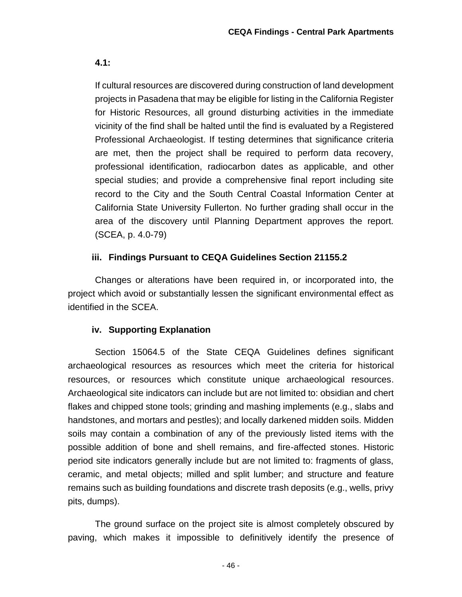**4.1:**

If cultural resources are discovered during construction of land development projects in Pasadena that may be eligible for listing in the California Register for Historic Resources, all ground disturbing activities in the immediate vicinity of the find shall be halted until the find is evaluated by a Registered Professional Archaeologist. If testing determines that significance criteria are met, then the project shall be required to perform data recovery, professional identification, radiocarbon dates as applicable, and other special studies; and provide a comprehensive final report including site record to the City and the South Central Coastal Information Center at California State University Fullerton. No further grading shall occur in the area of the discovery until Planning Department approves the report. (SCEA, p. 4.0-79)

#### **iii. Findings Pursuant to CEQA Guidelines Section 21155.2**

Changes or alterations have been required in, or incorporated into, the project which avoid or substantially lessen the significant environmental effect as identified in the SCEA.

## **iv. Supporting Explanation**

Section 15064.5 of the State CEQA Guidelines defines significant archaeological resources as resources which meet the criteria for historical resources, or resources which constitute unique archaeological resources. Archaeological site indicators can include but are not limited to: obsidian and chert flakes and chipped stone tools; grinding and mashing implements (e.g., slabs and handstones, and mortars and pestles); and locally darkened midden soils. Midden soils may contain a combination of any of the previously listed items with the possible addition of bone and shell remains, and fire-affected stones. Historic period site indicators generally include but are not limited to: fragments of glass, ceramic, and metal objects; milled and split lumber; and structure and feature remains such as building foundations and discrete trash deposits (e.g., wells, privy pits, dumps).

The ground surface on the project site is almost completely obscured by paving, which makes it impossible to definitively identify the presence of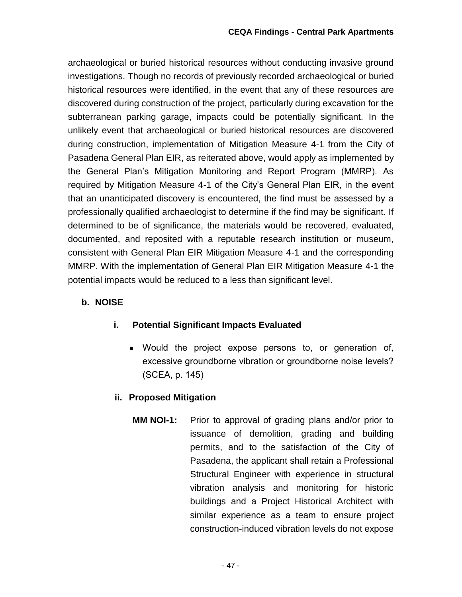archaeological or buried historical resources without conducting invasive ground investigations. Though no records of previously recorded archaeological or buried historical resources were identified, in the event that any of these resources are discovered during construction of the project, particularly during excavation for the subterranean parking garage, impacts could be potentially significant. In the unlikely event that archaeological or buried historical resources are discovered during construction, implementation of Mitigation Measure 4-1 from the City of Pasadena General Plan EIR, as reiterated above, would apply as implemented by the General Plan's Mitigation Monitoring and Report Program (MMRP). As required by Mitigation Measure 4-1 of the City's General Plan EIR, in the event that an unanticipated discovery is encountered, the find must be assessed by a professionally qualified archaeologist to determine if the find may be significant. If determined to be of significance, the materials would be recovered, evaluated, documented, and reposited with a reputable research institution or museum, consistent with General Plan EIR Mitigation Measure 4-1 and the corresponding MMRP. With the implementation of General Plan EIR Mitigation Measure 4-1 the potential impacts would be reduced to a less than significant level.

#### **b. NOISE**

#### **i. Potential Significant Impacts Evaluated**

 Would the project expose persons to, or generation of, excessive groundborne vibration or groundborne noise levels? (SCEA, p. 145)

#### **ii. Proposed Mitigation**

**MM NOI-1:** Prior to approval of grading plans and/or prior to issuance of demolition, grading and building permits, and to the satisfaction of the City of Pasadena, the applicant shall retain a Professional Structural Engineer with experience in structural vibration analysis and monitoring for historic buildings and a Project Historical Architect with similar experience as a team to ensure project construction-induced vibration levels do not expose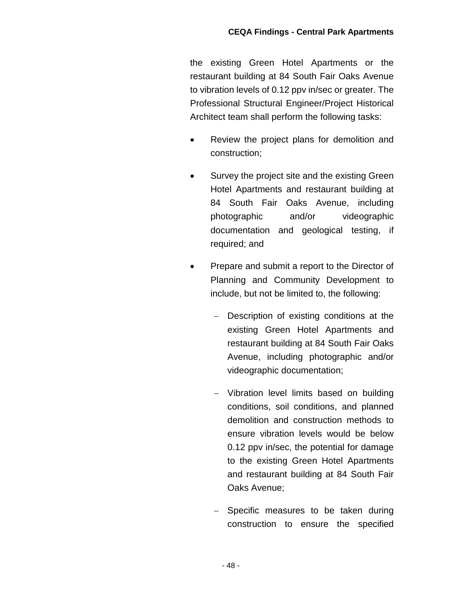the existing Green Hotel Apartments or the restaurant building at 84 South Fair Oaks Avenue to vibration levels of 0.12 ppv in/sec or greater. The Professional Structural Engineer/Project Historical Architect team shall perform the following tasks:

- Review the project plans for demolition and construction;
- Survey the project site and the existing Green Hotel Apartments and restaurant building at 84 South Fair Oaks Avenue, including photographic and/or videographic documentation and geological testing, if required; and
- Prepare and submit a report to the Director of Planning and Community Development to include, but not be limited to, the following:
	- Description of existing conditions at the existing Green Hotel Apartments and restaurant building at 84 South Fair Oaks Avenue, including photographic and/or videographic documentation;
	- Vibration level limits based on building conditions, soil conditions, and planned demolition and construction methods to ensure vibration levels would be below 0.12 ppv in/sec, the potential for damage to the existing Green Hotel Apartments and restaurant building at 84 South Fair Oaks Avenue;
	- Specific measures to be taken during construction to ensure the specified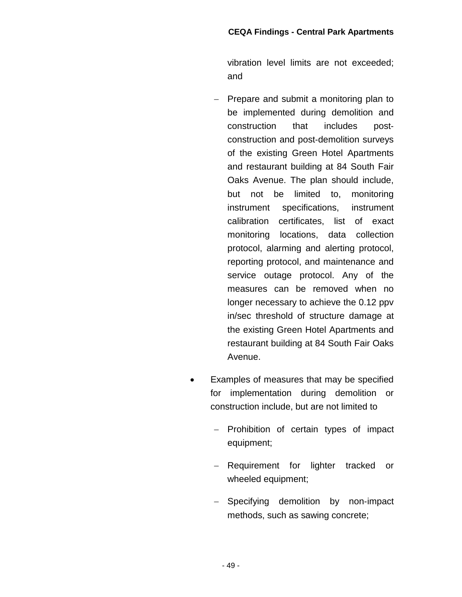vibration level limits are not exceeded; and

- Prepare and submit a monitoring plan to be implemented during demolition and construction that includes post‐ construction and post‐demolition surveys of the existing Green Hotel Apartments and restaurant building at 84 South Fair Oaks Avenue. The plan should include, but not be limited to, monitoring instrument specifications, instrument calibration certificates, list of exact monitoring locations, data collection protocol, alarming and alerting protocol, reporting protocol, and maintenance and service outage protocol. Any of the measures can be removed when no longer necessary to achieve the 0.12 ppv in/sec threshold of structure damage at the existing Green Hotel Apartments and restaurant building at 84 South Fair Oaks Avenue.
- Examples of measures that may be specified for implementation during demolition or construction include, but are not limited to
	- Prohibition of certain types of impact equipment;
	- Requirement for lighter tracked or wheeled equipment;
	- Specifying demolition by non-impact methods, such as sawing concrete;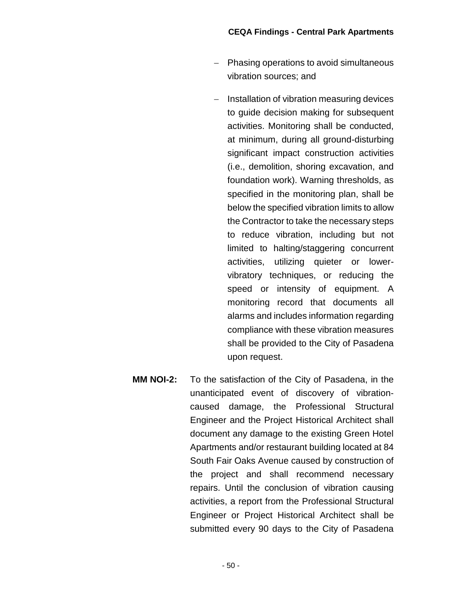- Phasing operations to avoid simultaneous vibration sources; and
- Installation of vibration measuring devices to guide decision making for subsequent activities. Monitoring shall be conducted, at minimum, during all ground-disturbing significant impact construction activities (i.e., demolition, shoring excavation, and foundation work). Warning thresholds, as specified in the monitoring plan, shall be below the specified vibration limits to allow the Contractor to take the necessary steps to reduce vibration, including but not limited to halting/staggering concurrent activities, utilizing quieter or lowervibratory techniques, or reducing the speed or intensity of equipment. A monitoring record that documents all alarms and includes information regarding compliance with these vibration measures shall be provided to the City of Pasadena upon request.
- **MM NOI-2:** To the satisfaction of the City of Pasadena, in the unanticipated event of discovery of vibration‐ caused damage, the Professional Structural Engineer and the Project Historical Architect shall document any damage to the existing Green Hotel Apartments and/or restaurant building located at 84 South Fair Oaks Avenue caused by construction of the project and shall recommend necessary repairs. Until the conclusion of vibration causing activities, a report from the Professional Structural Engineer or Project Historical Architect shall be submitted every 90 days to the City of Pasadena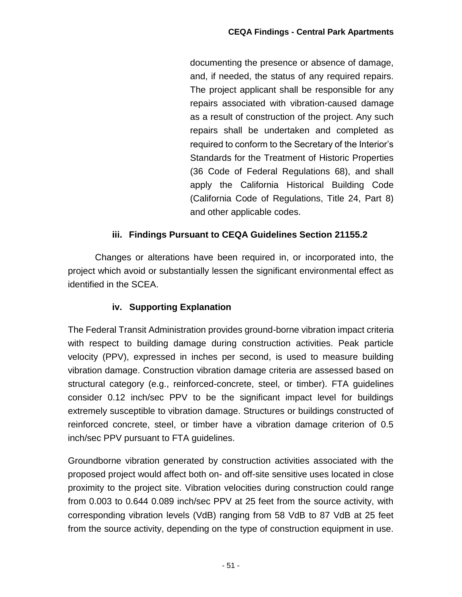documenting the presence or absence of damage, and, if needed, the status of any required repairs. The project applicant shall be responsible for any repairs associated with vibration‐caused damage as a result of construction of the project. Any such repairs shall be undertaken and completed as required to conform to the Secretary of the Interior's Standards for the Treatment of Historic Properties (36 Code of Federal Regulations 68), and shall apply the California Historical Building Code (California Code of Regulations, Title 24, Part 8) and other applicable codes.

#### **iii. Findings Pursuant to CEQA Guidelines Section 21155.2**

Changes or alterations have been required in, or incorporated into, the project which avoid or substantially lessen the significant environmental effect as identified in the SCEA.

## **iv. Supporting Explanation**

The Federal Transit Administration provides ground-borne vibration impact criteria with respect to building damage during construction activities. Peak particle velocity (PPV), expressed in inches per second, is used to measure building vibration damage. Construction vibration damage criteria are assessed based on structural category (e.g., reinforced-concrete, steel, or timber). FTA guidelines consider 0.12 inch/sec PPV to be the significant impact level for buildings extremely susceptible to vibration damage. Structures or buildings constructed of reinforced concrete, steel, or timber have a vibration damage criterion of 0.5 inch/sec PPV pursuant to FTA guidelines.

Groundborne vibration generated by construction activities associated with the proposed project would affect both on- and off-site sensitive uses located in close proximity to the project site. Vibration velocities during construction could range from 0.003 to 0.644 0.089 inch/sec PPV at 25 feet from the source activity, with corresponding vibration levels (VdB) ranging from 58 VdB to 87 VdB at 25 feet from the source activity, depending on the type of construction equipment in use.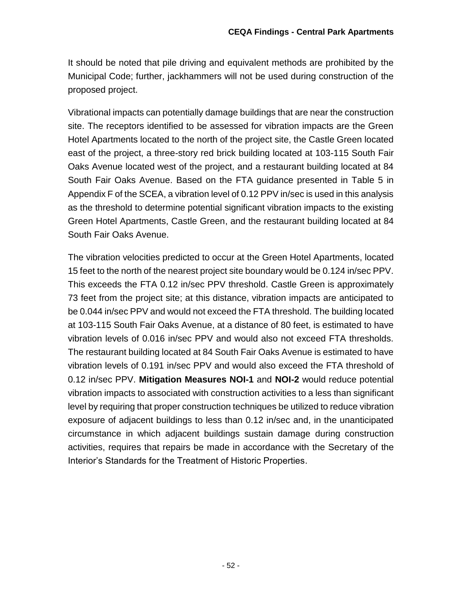It should be noted that pile driving and equivalent methods are prohibited by the Municipal Code; further, jackhammers will not be used during construction of the proposed project.

Vibrational impacts can potentially damage buildings that are near the construction site. The receptors identified to be assessed for vibration impacts are the Green Hotel Apartments located to the north of the project site, the Castle Green located east of the project, a three-story red brick building located at 103-115 South Fair Oaks Avenue located west of the project, and a restaurant building located at 84 South Fair Oaks Avenue. Based on the FTA guidance presented in Table 5 in Appendix F of the SCEA, a vibration level of 0.12 PPV in/sec is used in this analysis as the threshold to determine potential significant vibration impacts to the existing Green Hotel Apartments, Castle Green, and the restaurant building located at 84 South Fair Oaks Avenue.

The vibration velocities predicted to occur at the Green Hotel Apartments, located 15 feet to the north of the nearest project site boundary would be 0.124 in/sec PPV. This exceeds the FTA 0.12 in/sec PPV threshold. Castle Green is approximately 73 feet from the project site; at this distance, vibration impacts are anticipated to be 0.044 in/sec PPV and would not exceed the FTA threshold. The building located at 103-115 South Fair Oaks Avenue, at a distance of 80 feet, is estimated to have vibration levels of 0.016 in/sec PPV and would also not exceed FTA thresholds. The restaurant building located at 84 South Fair Oaks Avenue is estimated to have vibration levels of 0.191 in/sec PPV and would also exceed the FTA threshold of 0.12 in/sec PPV. **Mitigation Measures NOI-1** and **NOI-2** would reduce potential vibration impacts to associated with construction activities to a less than significant level by requiring that proper construction techniques be utilized to reduce vibration exposure of adjacent buildings to less than 0.12 in/sec and, in the unanticipated circumstance in which adjacent buildings sustain damage during construction activities, requires that repairs be made in accordance with the Secretary of the Interior's Standards for the Treatment of Historic Properties.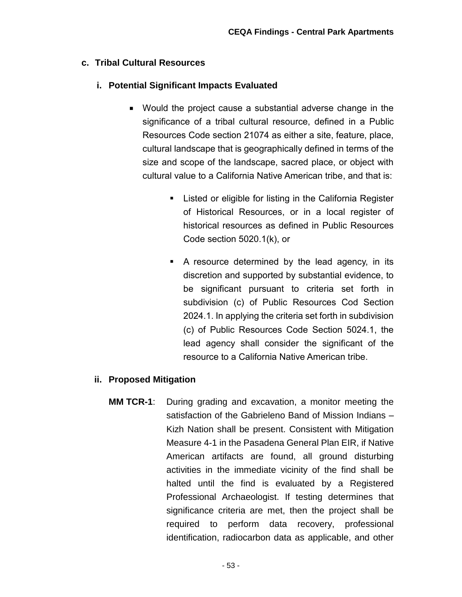#### **c. Tribal Cultural Resources**

#### **i. Potential Significant Impacts Evaluated**

- Would the project cause a substantial adverse change in the significance of a tribal cultural resource, defined in a Public Resources Code section 21074 as either a site, feature, place, cultural landscape that is geographically defined in terms of the size and scope of the landscape, sacred place, or object with cultural value to a California Native American tribe, and that is:
	- Listed or eligible for listing in the California Register of Historical Resources, or in a local register of historical resources as defined in Public Resources Code section 5020.1(k), or
	- A resource determined by the lead agency, in its discretion and supported by substantial evidence, to be significant pursuant to criteria set forth in subdivision (c) of Public Resources Cod Section 2024.1. In applying the criteria set forth in subdivision (c) of Public Resources Code Section 5024.1, the lead agency shall consider the significant of the resource to a California Native American tribe.

#### **ii. Proposed Mitigation**

**MM TCR-1**: During grading and excavation, a monitor meeting the satisfaction of the Gabrieleno Band of Mission Indians – Kizh Nation shall be present. Consistent with Mitigation Measure 4-1 in the Pasadena General Plan EIR, if Native American artifacts are found, all ground disturbing activities in the immediate vicinity of the find shall be halted until the find is evaluated by a Registered Professional Archaeologist. If testing determines that significance criteria are met, then the project shall be required to perform data recovery, professional identification, radiocarbon data as applicable, and other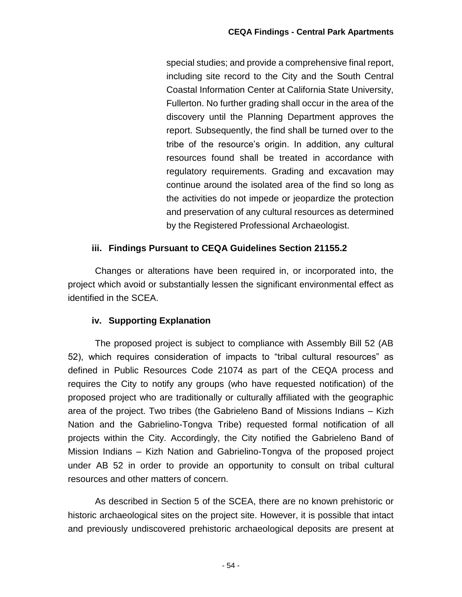special studies; and provide a comprehensive final report, including site record to the City and the South Central Coastal Information Center at California State University, Fullerton. No further grading shall occur in the area of the discovery until the Planning Department approves the report. Subsequently, the find shall be turned over to the tribe of the resource's origin. In addition, any cultural resources found shall be treated in accordance with regulatory requirements. Grading and excavation may continue around the isolated area of the find so long as the activities do not impede or jeopardize the protection and preservation of any cultural resources as determined by the Registered Professional Archaeologist.

#### **iii. Findings Pursuant to CEQA Guidelines Section 21155.2**

Changes or alterations have been required in, or incorporated into, the project which avoid or substantially lessen the significant environmental effect as identified in the SCEA.

#### **iv. Supporting Explanation**

The proposed project is subject to compliance with Assembly Bill 52 (AB 52), which requires consideration of impacts to "tribal cultural resources" as defined in Public Resources Code 21074 as part of the CEQA process and requires the City to notify any groups (who have requested notification) of the proposed project who are traditionally or culturally affiliated with the geographic area of the project. Two tribes (the Gabrieleno Band of Missions Indians – Kizh Nation and the Gabrielino-Tongva Tribe) requested formal notification of all projects within the City. Accordingly, the City notified the Gabrieleno Band of Mission Indians – Kizh Nation and Gabrielino-Tongva of the proposed project under AB 52 in order to provide an opportunity to consult on tribal cultural resources and other matters of concern.

As described in Section 5 of the SCEA, there are no known prehistoric or historic archaeological sites on the project site. However, it is possible that intact and previously undiscovered prehistoric archaeological deposits are present at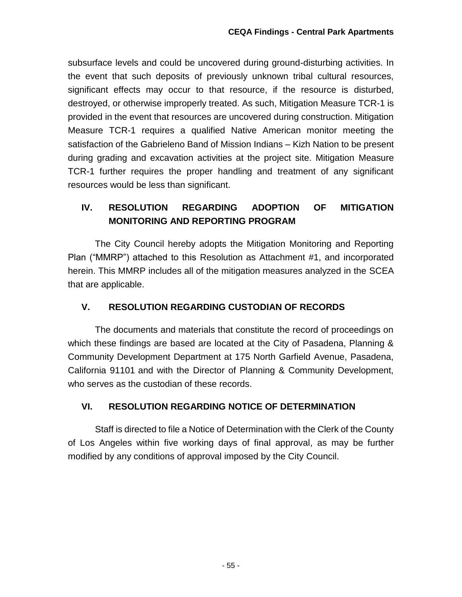subsurface levels and could be uncovered during ground-disturbing activities. In the event that such deposits of previously unknown tribal cultural resources, significant effects may occur to that resource, if the resource is disturbed, destroyed, or otherwise improperly treated. As such, Mitigation Measure TCR-1 is provided in the event that resources are uncovered during construction. Mitigation Measure TCR-1 requires a qualified Native American monitor meeting the satisfaction of the Gabrieleno Band of Mission Indians – Kizh Nation to be present during grading and excavation activities at the project site. Mitigation Measure TCR-1 further requires the proper handling and treatment of any significant resources would be less than significant.

## **IV. RESOLUTION REGARDING ADOPTION OF MITIGATION MONITORING AND REPORTING PROGRAM**

The City Council hereby adopts the Mitigation Monitoring and Reporting Plan ("MMRP") attached to this Resolution as Attachment #1, and incorporated herein. This MMRP includes all of the mitigation measures analyzed in the SCEA that are applicable.

## **V. RESOLUTION REGARDING CUSTODIAN OF RECORDS**

The documents and materials that constitute the record of proceedings on which these findings are based are located at the City of Pasadena, Planning & Community Development Department at 175 North Garfield Avenue, Pasadena, California 91101 and with the Director of Planning & Community Development, who serves as the custodian of these records.

## **VI. RESOLUTION REGARDING NOTICE OF DETERMINATION**

Staff is directed to file a Notice of Determination with the Clerk of the County of Los Angeles within five working days of final approval, as may be further modified by any conditions of approval imposed by the City Council.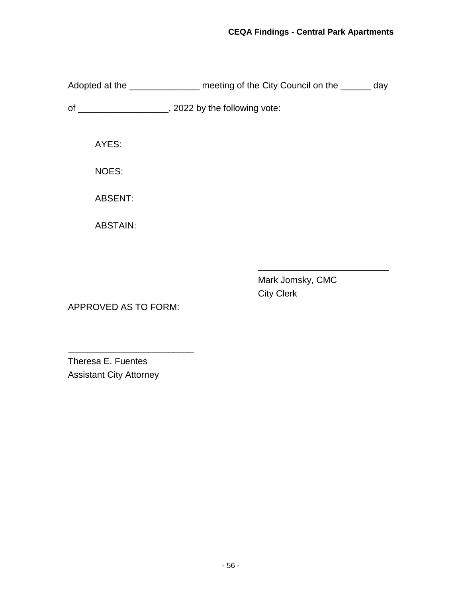Adopted at the \_\_\_\_\_\_\_\_\_\_\_\_\_\_\_\_\_ meeting of the City Council on the \_\_\_\_\_\_ day of \_\_\_\_\_\_\_\_\_\_\_\_\_\_\_\_\_\_, 2022 by the following vote: AYES: NOES: ABSENT: ABSTAIN:

> Mark Jomsky, CMC City Clerk

\_\_\_\_\_\_\_\_\_\_\_\_\_\_\_\_\_\_\_\_\_\_\_\_\_\_

APPROVED AS TO FORM:

\_\_\_\_\_\_\_\_\_\_\_\_\_\_\_\_\_\_\_\_\_\_\_\_\_

Theresa E. Fuentes Assistant City Attorney